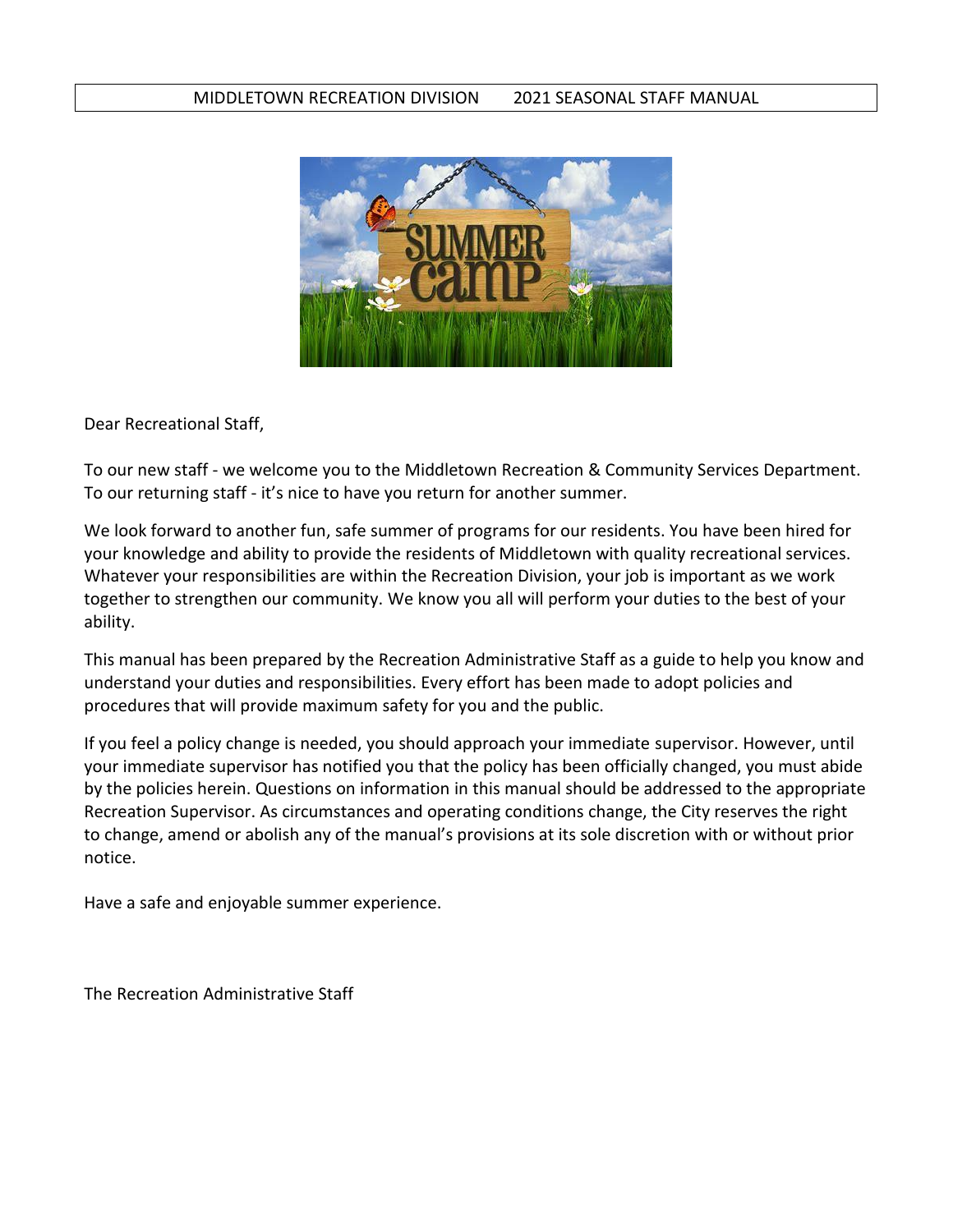## MIDDLETOWN RECREATION DIVISION 2021 SEASONAL STAFF MANUAL



Dear Recreational Staff,

To our new staff - we welcome you to the Middletown Recreation & Community Services Department. To our returning staff - it's nice to have you return for another summer.

We look forward to another fun, safe summer of programs for our residents. You have been hired for your knowledge and ability to provide the residents of Middletown with quality recreational services. Whatever your responsibilities are within the Recreation Division, your job is important as we work together to strengthen our community. We know you all will perform your duties to the best of your ability.

This manual has been prepared by the Recreation Administrative Staff as a guide to help you know and understand your duties and responsibilities. Every effort has been made to adopt policies and procedures that will provide maximum safety for you and the public.

If you feel a policy change is needed, you should approach your immediate supervisor. However, until your immediate supervisor has notified you that the policy has been officially changed, you must abide by the policies herein. Questions on information in this manual should be addressed to the appropriate Recreation Supervisor. As circumstances and operating conditions change, the City reserves the right to change, amend or abolish any of the manual's provisions at its sole discretion with or without prior notice.

Have a safe and enjoyable summer experience.

The Recreation Administrative Staff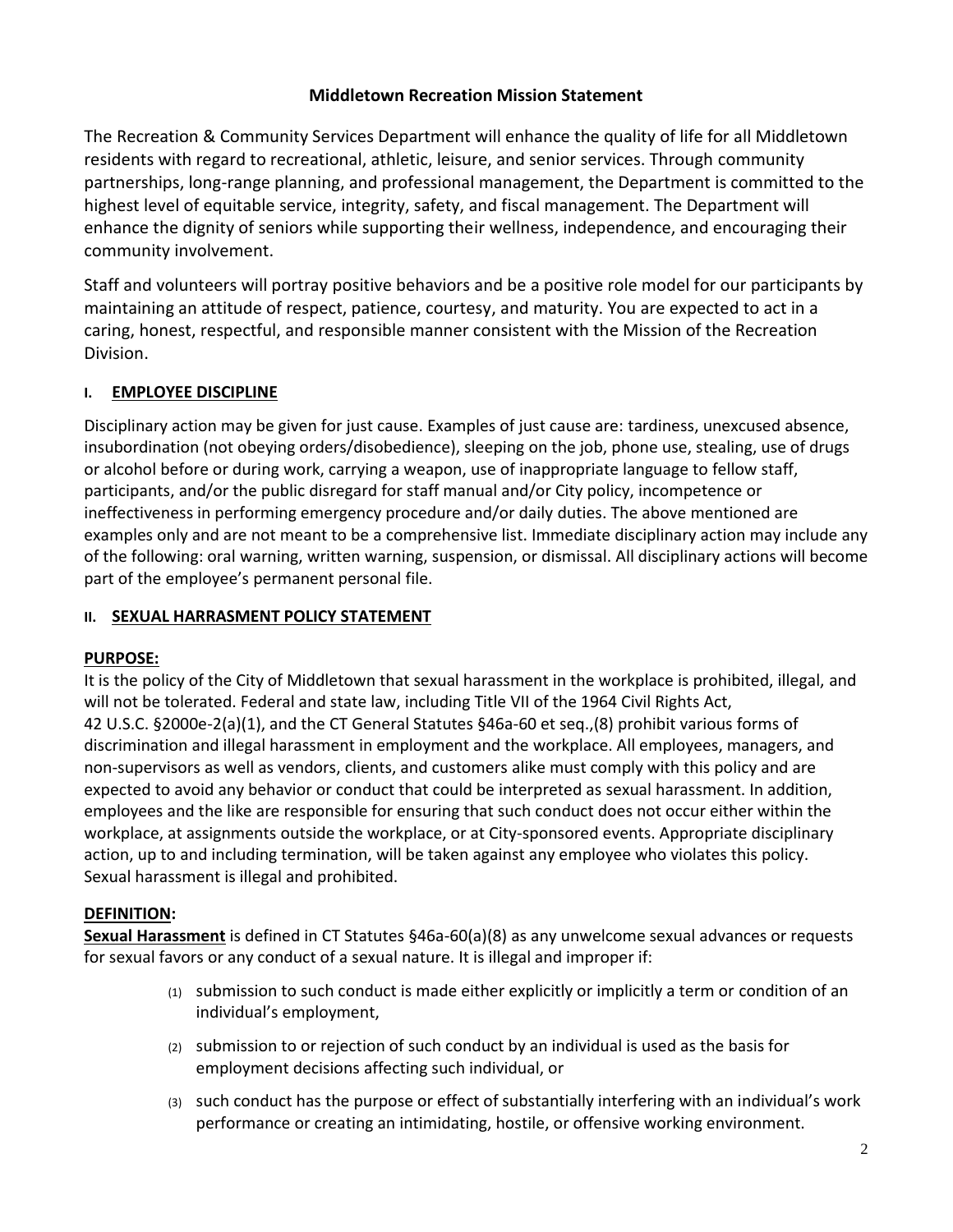# **Middletown Recreation Mission Statement**

The Recreation & Community Services Department will enhance the quality of life for all Middletown residents with regard to recreational, athletic, leisure, and senior services. Through community partnerships, long-range planning, and professional management, the Department is committed to the highest level of equitable service, integrity, safety, and fiscal management. The Department will enhance the dignity of seniors while supporting their wellness, independence, and encouraging their community involvement.

Staff and volunteers will portray positive behaviors and be a positive role model for our participants by maintaining an attitude of respect, patience, courtesy, and maturity. You are expected to act in a caring, honest, respectful, and responsible manner consistent with the Mission of the Recreation Division.

# **I. EMPLOYEE DISCIPLINE**

Disciplinary action may be given for just cause. Examples of just cause are: tardiness, unexcused absence, insubordination (not obeying orders/disobedience), sleeping on the job, phone use, stealing, use of drugs or alcohol before or during work, carrying a weapon, use of inappropriate language to fellow staff, participants, and/or the public disregard for staff manual and/or City policy, incompetence or ineffectiveness in performing emergency procedure and/or daily duties. The above mentioned are examples only and are not meant to be a comprehensive list. Immediate disciplinary action may include any of the following: oral warning, written warning, suspension, or dismissal. All disciplinary actions will become part of the employee's permanent personal file.

# **II. SEXUAL HARRASMENT POLICY STATEMENT**

## **PURPOSE:**

It is the policy of the City of Middletown that sexual harassment in the workplace is prohibited, illegal, and will not be tolerated. Federal and state law, including Title VII of the 1964 Civil Rights Act, 42 U.S.C. §2000e-2(a)(1), and the CT General Statutes §46a-60 et seq.,(8) prohibit various forms of discrimination and illegal harassment in employment and the workplace. All employees, managers, and non-supervisors as well as vendors, clients, and customers alike must comply with this policy and are expected to avoid any behavior or conduct that could be interpreted as sexual harassment. In addition, employees and the like are responsible for ensuring that such conduct does not occur either within the workplace, at assignments outside the workplace, or at City-sponsored events. Appropriate disciplinary action, up to and including termination, will be taken against any employee who violates this policy. Sexual harassment is illegal and prohibited.

## **DEFINITION:**

**Sexual Harassment** is defined in CT Statutes §46a-60(a)(8) as any unwelcome sexual advances or requests for sexual favors or any conduct of a sexual nature. It is illegal and improper if:

- (1) submission to such conduct is made either explicitly or implicitly a term or condition of an individual's employment,
- (2) submission to or rejection of such conduct by an individual is used as the basis for employment decisions affecting such individual, or
- (3) such conduct has the purpose or effect of substantially interfering with an individual's work performance or creating an intimidating, hostile, or offensive working environment.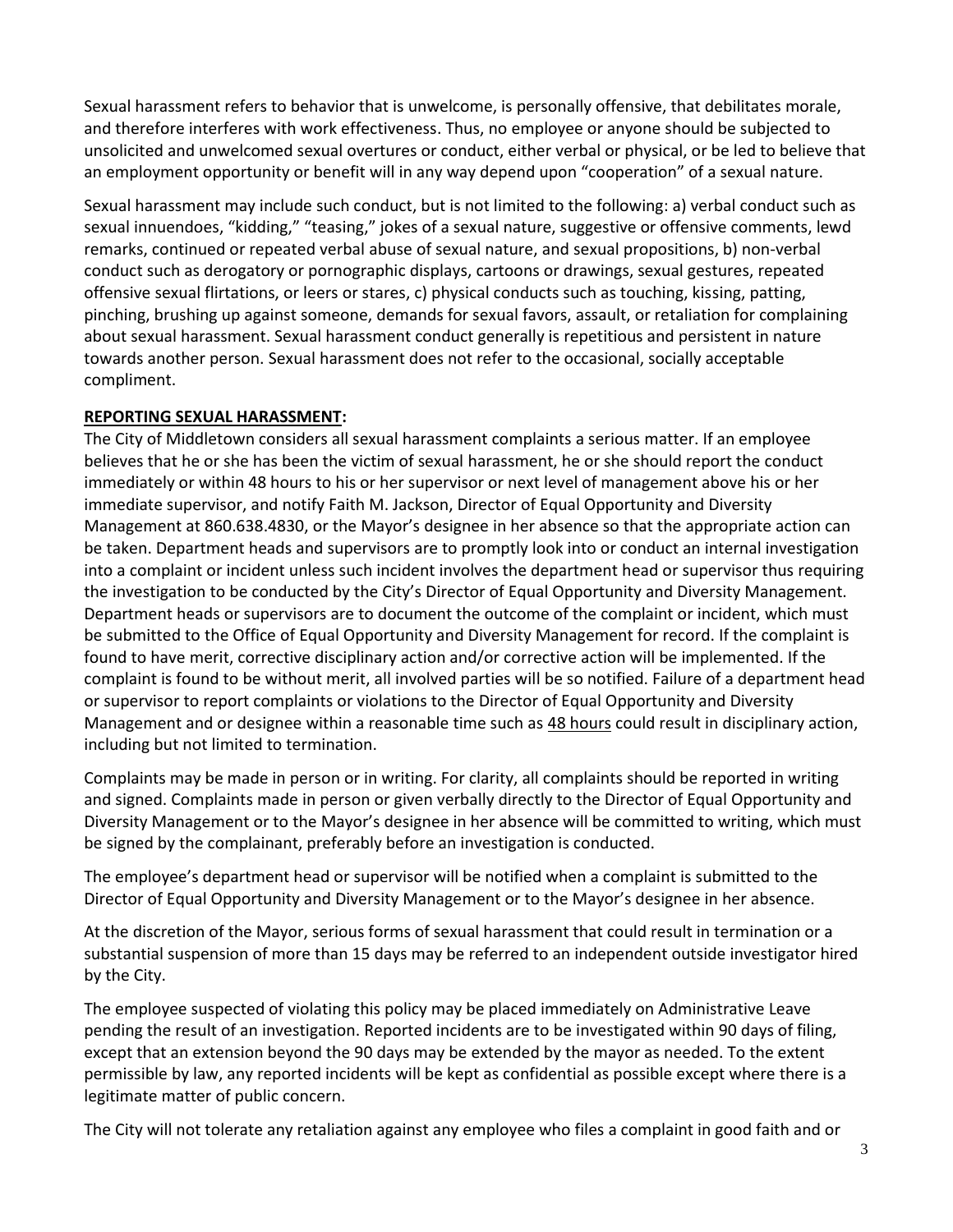Sexual harassment refers to behavior that is unwelcome, is personally offensive, that debilitates morale, and therefore interferes with work effectiveness. Thus, no employee or anyone should be subjected to unsolicited and unwelcomed sexual overtures or conduct, either verbal or physical, or be led to believe that an employment opportunity or benefit will in any way depend upon "cooperation" of a sexual nature.

Sexual harassment may include such conduct, but is not limited to the following: a) verbal conduct such as sexual innuendoes, "kidding," "teasing," jokes of a sexual nature, suggestive or offensive comments, lewd remarks, continued or repeated verbal abuse of sexual nature, and sexual propositions, b) non-verbal conduct such as derogatory or pornographic displays, cartoons or drawings, sexual gestures, repeated offensive sexual flirtations, or leers or stares, c) physical conducts such as touching, kissing, patting, pinching, brushing up against someone, demands for sexual favors, assault, or retaliation for complaining about sexual harassment. Sexual harassment conduct generally is repetitious and persistent in nature towards another person. Sexual harassment does not refer to the occasional, socially acceptable compliment.

## **REPORTING SEXUAL HARASSMENT:**

The City of Middletown considers all sexual harassment complaints a serious matter. If an employee believes that he or she has been the victim of sexual harassment, he or she should report the conduct immediately or within 48 hours to his or her supervisor or next level of management above his or her immediate supervisor, and notify Faith M. Jackson, Director of Equal Opportunity and Diversity Management at 860.638.4830, or the Mayor's designee in her absence so that the appropriate action can be taken. Department heads and supervisors are to promptly look into or conduct an internal investigation into a complaint or incident unless such incident involves the department head or supervisor thus requiring the investigation to be conducted by the City's Director of Equal Opportunity and Diversity Management. Department heads or supervisors are to document the outcome of the complaint or incident, which must be submitted to the Office of Equal Opportunity and Diversity Management for record. If the complaint is found to have merit, corrective disciplinary action and/or corrective action will be implemented. If the complaint is found to be without merit, all involved parties will be so notified. Failure of a department head or supervisor to report complaints or violations to the Director of Equal Opportunity and Diversity Management and or designee within a reasonable time such as 48 hours could result in disciplinary action, including but not limited to termination.

Complaints may be made in person or in writing. For clarity, all complaints should be reported in writing and signed. Complaints made in person or given verbally directly to the Director of Equal Opportunity and Diversity Management or to the Mayor's designee in her absence will be committed to writing, which must be signed by the complainant, preferably before an investigation is conducted.

The employee's department head or supervisor will be notified when a complaint is submitted to the Director of Equal Opportunity and Diversity Management or to the Mayor's designee in her absence.

At the discretion of the Mayor, serious forms of sexual harassment that could result in termination or a substantial suspension of more than 15 days may be referred to an independent outside investigator hired by the City.

The employee suspected of violating this policy may be placed immediately on Administrative Leave pending the result of an investigation. Reported incidents are to be investigated within 90 days of filing, except that an extension beyond the 90 days may be extended by the mayor as needed. To the extent permissible by law, any reported incidents will be kept as confidential as possible except where there is a legitimate matter of public concern.

The City will not tolerate any retaliation against any employee who files a complaint in good faith and or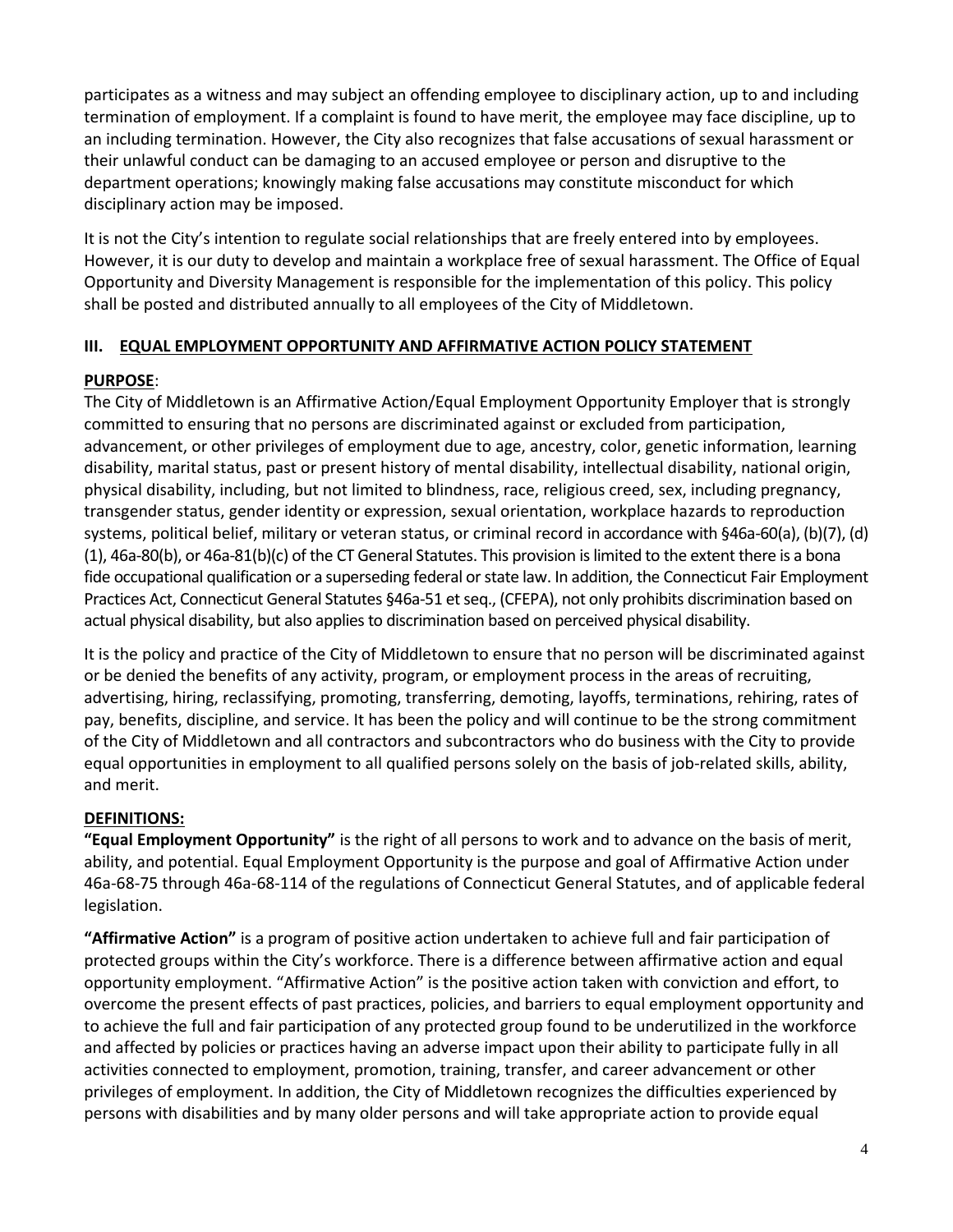participates as a witness and may subject an offending employee to disciplinary action, up to and including termination of employment. If a complaint is found to have merit, the employee may face discipline, up to an including termination. However, the City also recognizes that false accusations of sexual harassment or their unlawful conduct can be damaging to an accused employee or person and disruptive to the department operations; knowingly making false accusations may constitute misconduct for which disciplinary action may be imposed.

It is not the City's intention to regulate social relationships that are freely entered into by employees. However, it is our duty to develop and maintain a workplace free of sexual harassment. The Office of Equal Opportunity and Diversity Management is responsible for the implementation of this policy. This policy shall be posted and distributed annually to all employees of the City of Middletown.

# **III. EQUAL EMPLOYMENT OPPORTUNITY AND AFFIRMATIVE ACTION POLICY STATEMENT**

## **PURPOSE**:

The City of Middletown is an Affirmative Action/Equal Employment Opportunity Employer that is strongly committed to ensuring that no persons are discriminated against or excluded from participation, advancement, or other privileges of employment due to age, ancestry, color, genetic information, learning disability, marital status, past or present history of mental disability, intellectual disability, national origin, physical disability, including, but not limited to blindness, race, religious creed, sex, including pregnancy, transgender status, gender identity or expression, sexual orientation, workplace hazards to reproduction systems, political belief, military or veteran status, or criminal record in accordance with §46a-60(a), (b)(7), (d) (1), 46a-80(b), or 46a-81(b)(c) of the CT General Statutes. This provision is limited to the extent there is a bona fide occupational qualification or a superseding federal or state law. In addition, the Connecticut Fair Employment Practices Act, Connecticut General Statutes §46a-51 et seq., (CFEPA), not only prohibits discrimination based on actual physical disability, but also applies to discrimination based on perceived physical disability.

It is the policy and practice of the City of Middletown to ensure that no person will be discriminated against or be denied the benefits of any activity, program, or employment process in the areas of recruiting, advertising, hiring, reclassifying, promoting, transferring, demoting, layoffs, terminations, rehiring, rates of pay, benefits, discipline, and service. It has been the policy and will continue to be the strong commitment of the City of Middletown and all contractors and subcontractors who do business with the City to provide equal opportunities in employment to all qualified persons solely on the basis of job-related skills, ability, and merit.

# **DEFINITIONS:**

**"Equal Employment Opportunity"** is the right of all persons to work and to advance on the basis of merit, ability, and potential. Equal Employment Opportunity is the purpose and goal of Affirmative Action under 46a-68-75 through 46a-68-114 of the regulations of Connecticut General Statutes, and of applicable federal legislation.

**"Affirmative Action"** is a program of positive action undertaken to achieve full and fair participation of protected groups within the City's workforce. There is a difference between affirmative action and equal opportunity employment. "Affirmative Action" is the positive action taken with conviction and effort, to overcome the present effects of past practices, policies, and barriers to equal employment opportunity and to achieve the full and fair participation of any protected group found to be underutilized in the workforce and affected by policies or practices having an adverse impact upon their ability to participate fully in all activities connected to employment, promotion, training, transfer, and career advancement or other privileges of employment. In addition, the City of Middletown recognizes the difficulties experienced by persons with disabilities and by many older persons and will take appropriate action to provide equal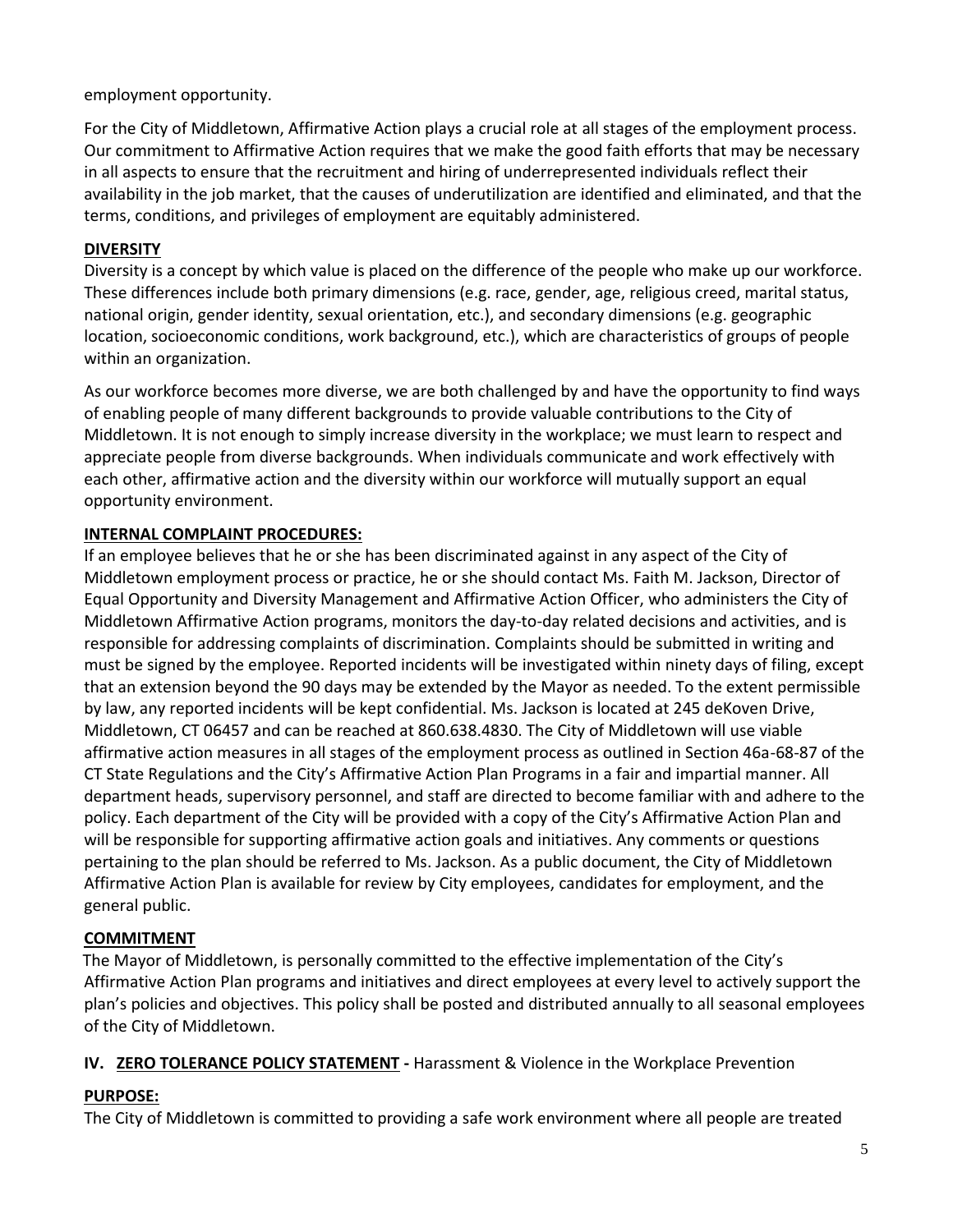employment opportunity.

For the City of Middletown, Affirmative Action plays a crucial role at all stages of the employment process. Our commitment to Affirmative Action requires that we make the good faith efforts that may be necessary in all aspects to ensure that the recruitment and hiring of underrepresented individuals reflect their availability in the job market, that the causes of underutilization are identified and eliminated, and that the terms, conditions, and privileges of employment are equitably administered.

# **DIVERSITY**

Diversity is a concept by which value is placed on the difference of the people who make up our workforce. These differences include both primary dimensions (e.g. race, gender, age, religious creed, marital status, national origin, gender identity, sexual orientation, etc.), and secondary dimensions (e.g. geographic location, socioeconomic conditions, work background, etc.), which are characteristics of groups of people within an organization.

As our workforce becomes more diverse, we are both challenged by and have the opportunity to find ways of enabling people of many different backgrounds to provide valuable contributions to the City of Middletown. It is not enough to simply increase diversity in the workplace; we must learn to respect and appreciate people from diverse backgrounds. When individuals communicate and work effectively with each other, affirmative action and the diversity within our workforce will mutually support an equal opportunity environment.

# **INTERNAL COMPLAINT PROCEDURES:**

If an employee believes that he or she has been discriminated against in any aspect of the City of Middletown employment process or practice, he or she should contact Ms. Faith M. Jackson, Director of Equal Opportunity and Diversity Management and Affirmative Action Officer, who administers the City of Middletown Affirmative Action programs, monitors the day-to-day related decisions and activities, and is responsible for addressing complaints of discrimination. Complaints should be submitted in writing and must be signed by the employee. Reported incidents will be investigated within ninety days of filing, except that an extension beyond the 90 days may be extended by the Mayor as needed. To the extent permissible by law, any reported incidents will be kept confidential. Ms. Jackson is located at 245 deKoven Drive, Middletown, CT 06457 and can be reached at 860.638.4830. The City of Middletown will use viable affirmative action measures in all stages of the employment process as outlined in Section 46a-68-87 of the CT State Regulations and the City's Affirmative Action Plan Programs in a fair and impartial manner. All department heads, supervisory personnel, and staff are directed to become familiar with and adhere to the policy. Each department of the City will be provided with a copy of the City's Affirmative Action Plan and will be responsible for supporting affirmative action goals and initiatives. Any comments or questions pertaining to the plan should be referred to Ms. Jackson. As a public document, the City of Middletown Affirmative Action Plan is available for review by City employees, candidates for employment, and the general public.

# **COMMITMENT**

The Mayor of Middletown, is personally committed to the effective implementation of the City's Affirmative Action Plan programs and initiatives and direct employees at every level to actively support the plan's policies and objectives. This policy shall be posted and distributed annually to all seasonal employees of the City of Middletown.

# **IV. ZERO TOLERANCE POLICY STATEMENT** - Harassment & Violence in the Workplace Prevention

# **PURPOSE:**

The City of Middletown is committed to providing a safe work environment where all people are treated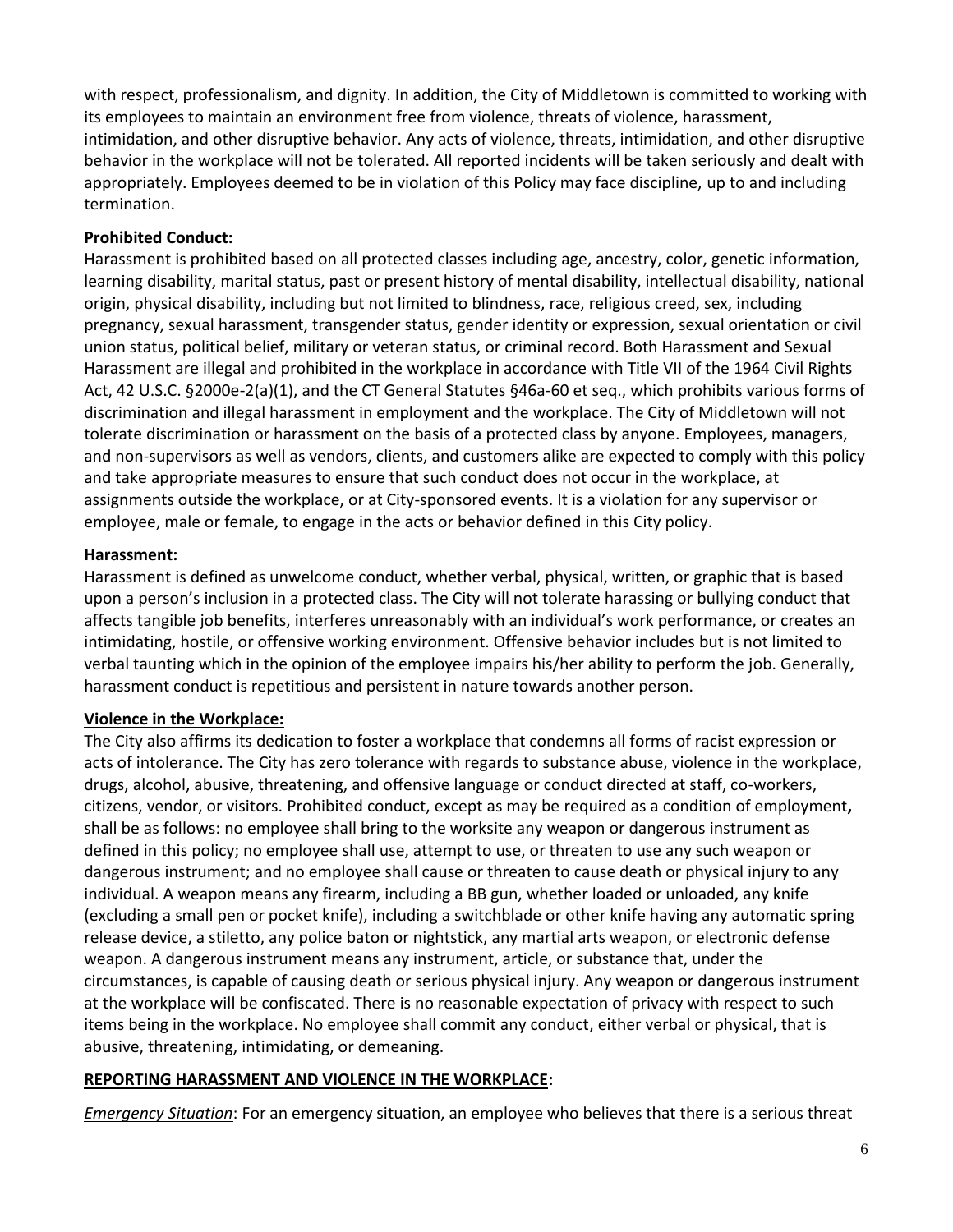with respect, professionalism, and dignity. In addition, the City of Middletown is committed to working with its employees to maintain an environment free from violence, threats of violence, harassment, intimidation, and other disruptive behavior. Any acts of violence, threats, intimidation, and other disruptive behavior in the workplace will not be tolerated. All reported incidents will be taken seriously and dealt with appropriately. Employees deemed to be in violation of this Policy may face discipline, up to and including termination.

#### **Prohibited Conduct:**

Harassment is prohibited based on all protected classes including age, ancestry, color, genetic information, learning disability, marital status, past or present history of mental disability, intellectual disability, national origin, physical disability, including but not limited to blindness, race, religious creed, sex, including pregnancy, sexual harassment, transgender status, gender identity or expression, sexual orientation or civil union status, political belief, military or veteran status, or criminal record. Both Harassment and Sexual Harassment are illegal and prohibited in the workplace in accordance with Title VII of the 1964 Civil Rights Act, 42 U.S.C. §2000e-2(a)(1), and the CT General Statutes §46a-60 et seq., which prohibits various forms of discrimination and illegal harassment in employment and the workplace. The City of Middletown will not tolerate discrimination or harassment on the basis of a protected class by anyone. Employees, managers, and non-supervisors as well as vendors, clients, and customers alike are expected to comply with this policy and take appropriate measures to ensure that such conduct does not occur in the workplace, at assignments outside the workplace, or at City-sponsored events. It is a violation for any supervisor or employee, male or female, to engage in the acts or behavior defined in this City policy.

#### **Harassment:**

Harassment is defined as unwelcome conduct, whether verbal, physical, written, or graphic that is based upon a person's inclusion in a protected class. The City will not tolerate harassing or bullying conduct that affects tangible job benefits, interferes unreasonably with an individual's work performance, or creates an intimidating, hostile, or offensive working environment. Offensive behavior includes but is not limited to verbal taunting which in the opinion of the employee impairs his/her ability to perform the job. Generally, harassment conduct is repetitious and persistent in nature towards another person.

## **Violence in the Workplace:**

The City also affirms its dedication to foster a workplace that condemns all forms of racist expression or acts of intolerance. The City has zero tolerance with regards to substance abuse, violence in the workplace, drugs, alcohol, abusive, threatening, and offensive language or conduct directed at staff, co-workers, citizens, vendor, or visitors. Prohibited conduct, except as may be required as a condition of employment**,** shall be as follows: no employee shall bring to the worksite any weapon or dangerous instrument as defined in this policy; no employee shall use, attempt to use, or threaten to use any such weapon or dangerous instrument; and no employee shall cause or threaten to cause death or physical injury to any individual. A weapon means any firearm, including a BB gun, whether loaded or unloaded, any knife (excluding a small pen or pocket knife), including a switchblade or other knife having any automatic spring release device, a stiletto, any police baton or nightstick, any martial arts weapon, or electronic defense weapon. A dangerous instrument means any instrument, article, or substance that, under the circumstances, is capable of causing death or serious physical injury. Any weapon or dangerous instrument at the workplace will be confiscated. There is no reasonable expectation of privacy with respect to such items being in the workplace. No employee shall commit any conduct, either verbal or physical, that is abusive, threatening, intimidating, or demeaning.

#### **REPORTING HARASSMENT AND VIOLENCE IN THE WORKPLACE:**

*Emergency Situation*: For an emergency situation, an employee who believes that there is a serious threat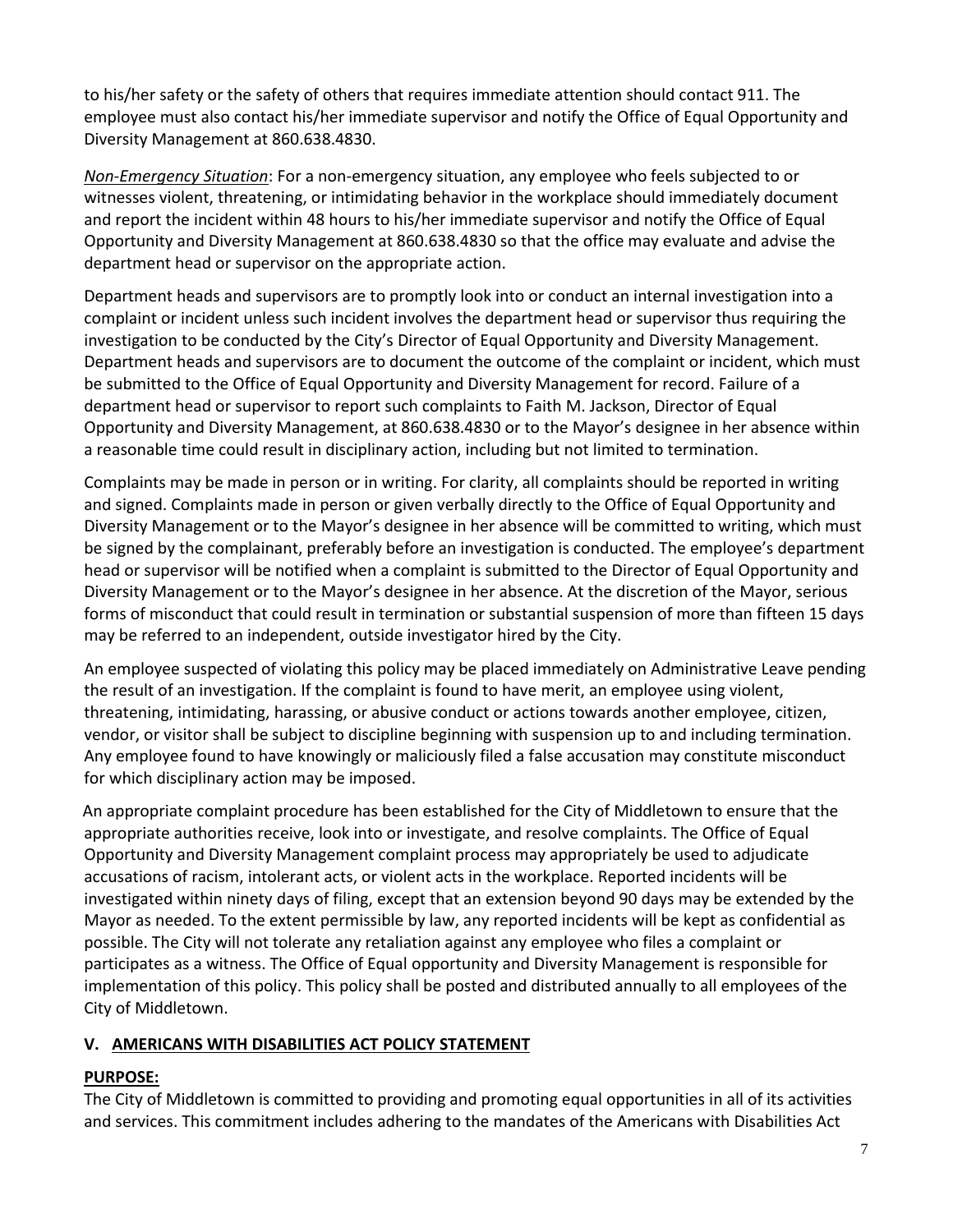to his/her safety or the safety of others that requires immediate attention should contact 911. The employee must also contact his/her immediate supervisor and notify the Office of Equal Opportunity and Diversity Management at 860.638.4830.

*Non-Emergency Situation*: For a non-emergency situation, any employee who feels subjected to or witnesses violent, threatening, or intimidating behavior in the workplace should immediately document and report the incident within 48 hours to his/her immediate supervisor and notify the Office of Equal Opportunity and Diversity Management at 860.638.4830 so that the office may evaluate and advise the department head or supervisor on the appropriate action.

Department heads and supervisors are to promptly look into or conduct an internal investigation into a complaint or incident unless such incident involves the department head or supervisor thus requiring the investigation to be conducted by the City's Director of Equal Opportunity and Diversity Management. Department heads and supervisors are to document the outcome of the complaint or incident, which must be submitted to the Office of Equal Opportunity and Diversity Management for record. Failure of a department head or supervisor to report such complaints to Faith M. Jackson, Director of Equal Opportunity and Diversity Management, at 860.638.4830 or to the Mayor's designee in her absence within a reasonable time could result in disciplinary action, including but not limited to termination.

Complaints may be made in person or in writing. For clarity, all complaints should be reported in writing and signed. Complaints made in person or given verbally directly to the Office of Equal Opportunity and Diversity Management or to the Mayor's designee in her absence will be committed to writing, which must be signed by the complainant, preferably before an investigation is conducted. The employee's department head or supervisor will be notified when a complaint is submitted to the Director of Equal Opportunity and Diversity Management or to the Mayor's designee in her absence. At the discretion of the Mayor, serious forms of misconduct that could result in termination or substantial suspension of more than fifteen 15 days may be referred to an independent, outside investigator hired by the City.

An employee suspected of violating this policy may be placed immediately on Administrative Leave pending the result of an investigation. If the complaint is found to have merit, an employee using violent, threatening, intimidating, harassing, or abusive conduct or actions towards another employee, citizen, vendor, or visitor shall be subject to discipline beginning with suspension up to and including termination. Any employee found to have knowingly or maliciously filed a false accusation may constitute misconduct for which disciplinary action may be imposed.

An appropriate complaint procedure has been established for the City of Middletown to ensure that the appropriate authorities receive, look into or investigate, and resolve complaints. The Office of Equal Opportunity and Diversity Management complaint process may appropriately be used to adjudicate accusations of racism, intolerant acts, or violent acts in the workplace. Reported incidents will be investigated within ninety days of filing, except that an extension beyond 90 days may be extended by the Mayor as needed. To the extent permissible by law, any reported incidents will be kept as confidential as possible. The City will not tolerate any retaliation against any employee who files a complaint or participates as a witness. The Office of Equal opportunity and Diversity Management is responsible for implementation of this policy. This policy shall be posted and distributed annually to all employees of the City of Middletown.

# **V. AMERICANS WITH DISABILITIES ACT POLICY STATEMENT**

# **PURPOSE:**

The City of Middletown is committed to providing and promoting equal opportunities in all of its activities and services. This commitment includes adhering to the mandates of the Americans with Disabilities Act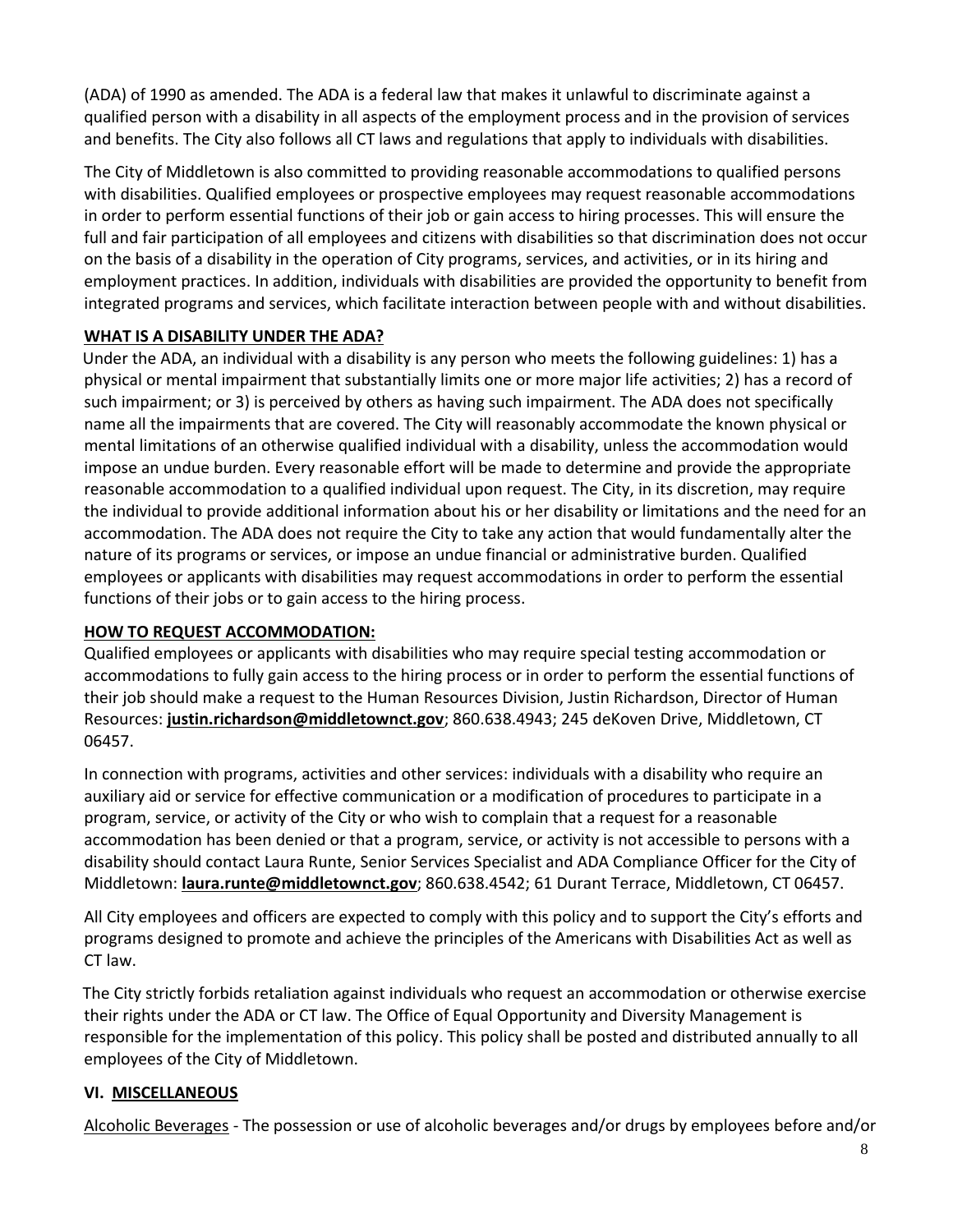(ADA) of 1990 as amended. The ADA is a federal law that makes it unlawful to discriminate against a qualified person with a disability in all aspects of the employment process and in the provision of services and benefits. The City also follows all CT laws and regulations that apply to individuals with disabilities.

The City of Middletown is also committed to providing reasonable accommodations to qualified persons with disabilities. Qualified employees or prospective employees may request reasonable accommodations in order to perform essential functions of their job or gain access to hiring processes. This will ensure the full and fair participation of all employees and citizens with disabilities so that discrimination does not occur on the basis of a disability in the operation of City programs, services, and activities, or in its hiring and employment practices. In addition, individuals with disabilities are provided the opportunity to benefit from integrated programs and services, which facilitate interaction between people with and without disabilities.

## **WHAT IS A DISABILITY UNDER THE ADA?**

Under the ADA, an individual with a disability is any person who meets the following guidelines: 1) has a physical or mental impairment that substantially limits one or more major life activities; 2) has a record of such impairment; or 3) is perceived by others as having such impairment. The ADA does not specifically name all the impairments that are covered. The City will reasonably accommodate the known physical or mental limitations of an otherwise qualified individual with a disability, unless the accommodation would impose an undue burden. Every reasonable effort will be made to determine and provide the appropriate reasonable accommodation to a qualified individual upon request. The City, in its discretion, may require the individual to provide additional information about his or her disability or limitations and the need for an accommodation. The ADA does not require the City to take any action that would fundamentally alter the nature of its programs or services, or impose an undue financial or administrative burden. Qualified employees or applicants with disabilities may request accommodations in order to perform the essential functions of their jobs or to gain access to the hiring process.

# **HOW TO REQUEST ACCOMMODATION:**

Qualified employees or applicants with disabilities who may require special testing accommodation or accommodations to fully gain access to the hiring process or in order to perform the essential functions of their job should make a request to the Human Resources Division, Justin Richardson, Director of Human Resources: **justin.richardson@middletownct.gov**; 860.638.4943; 245 deKoven Drive, Middletown, CT 06457.

In connection with programs, activities and other services: individuals with a disability who require an auxiliary aid or service for effective communication or a modification of procedures to participate in a program, service, or activity of the City or who wish to complain that a request for a reasonable accommodation has been denied or that a program, service, or activity is not accessible to persons with a disability should contact Laura Runte, Senior Services Specialist and ADA Compliance Officer for the City of Middletown: **[laura.runte@middletownct.gov](mailto:laura.runte@middletownct.gov)**; 860.638.4542; 61 Durant Terrace, Middletown, CT 06457.

All City employees and officers are expected to comply with this policy and to support the City's efforts and programs designed to promote and achieve the principles of the Americans with Disabilities Act as well as CT law.

The City strictly forbids retaliation against individuals who request an accommodation or otherwise exercise their rights under the ADA or CT law. The Office of Equal Opportunity and Diversity Management is responsible for the implementation of this policy. This policy shall be posted and distributed annually to all employees of the City of Middletown.

# **VI. MISCELLANEOUS**

Alcoholic Beverages - The possession or use of alcoholic beverages and/or drugs by employees before and/or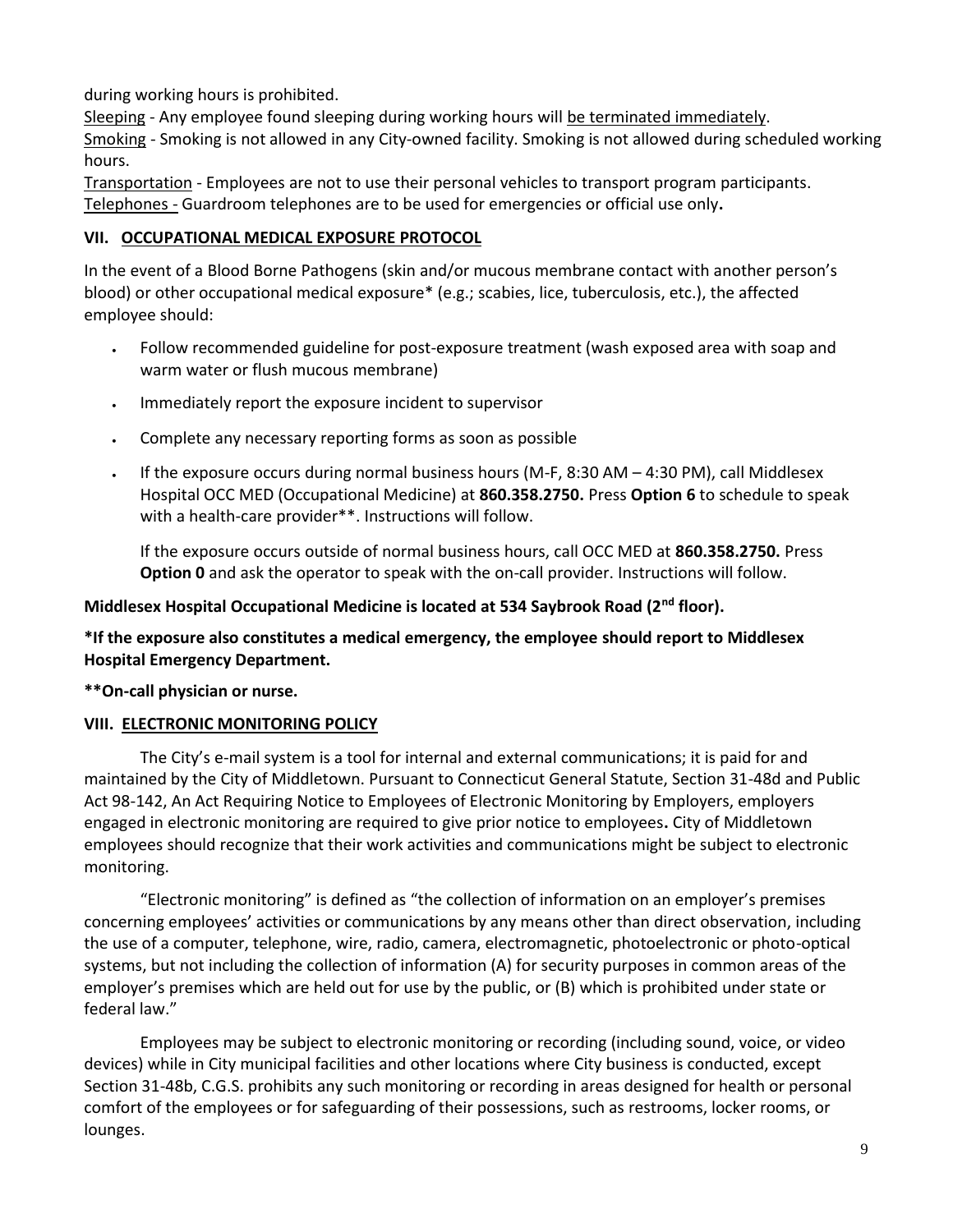during working hours is prohibited.

Sleeping - Any employee found sleeping during working hours will be terminated immediately. Smoking - Smoking is not allowed in any City-owned facility. Smoking is not allowed during scheduled working hours.

Transportation - Employees are not to use their personal vehicles to transport program participants. Telephones - Guardroom telephones are to be used for emergencies or official use only**.**

## **VII. OCCUPATIONAL MEDICAL EXPOSURE PROTOCOL**

In the event of a Blood Borne Pathogens (skin and/or mucous membrane contact with another person's blood) or other occupational medical exposure\* (e.g.; scabies, lice, tuberculosis, etc.), the affected employee should:

- Follow recommended guideline for post-exposure treatment (wash exposed area with soap and warm water or flush mucous membrane)
- . Immediately report the exposure incident to supervisor
- Complete any necessary reporting forms as soon as possible
- If the exposure occurs during normal business hours (M-F, 8:30 AM 4:30 PM), call Middlesex Hospital OCC MED (Occupational Medicine) at **860.358.2750.** Press **Option 6** to schedule to speak with a health-care provider\*\*. Instructions will follow.

If the exposure occurs outside of normal business hours, call OCC MED at **860.358.2750.** Press **Option 0** and ask the operator to speak with the on-call provider. Instructions will follow.

# **Middlesex Hospital Occupational Medicine is located at 534 Saybrook Road (2nd floor).**

## **\*If the exposure also constitutes a medical emergency, the employee should report to Middlesex Hospital Emergency Department.**

**\*\*On-call physician or nurse.**

## **VIII. ELECTRONIC MONITORING POLICY**

The City's e-mail system is a tool for internal and external communications; it is paid for and maintained by the City of Middletown. Pursuant to Connecticut General Statute, Section 31-48d and Public Act 98-142, An Act Requiring Notice to Employees of Electronic Monitoring by Employers, employers engaged in electronic monitoring are required to give prior notice to employees**.** City of Middletown employees should recognize that their work activities and communications might be subject to electronic monitoring.

"Electronic monitoring" is defined as "the collection of information on an employer's premises concerning employees' activities or communications by any means other than direct observation, including the use of a computer, telephone, wire, radio, camera, electromagnetic, photoelectronic or photo-optical systems, but not including the collection of information (A) for security purposes in common areas of the employer's premises which are held out for use by the public, or (B) which is prohibited under state or federal law."

Employees may be subject to electronic monitoring or recording (including sound, voice, or video devices) while in City municipal facilities and other locations where City business is conducted, except Section 31-48b, C.G.S. prohibits any such monitoring or recording in areas designed for health or personal comfort of the employees or for safeguarding of their possessions, such as restrooms, locker rooms, or lounges.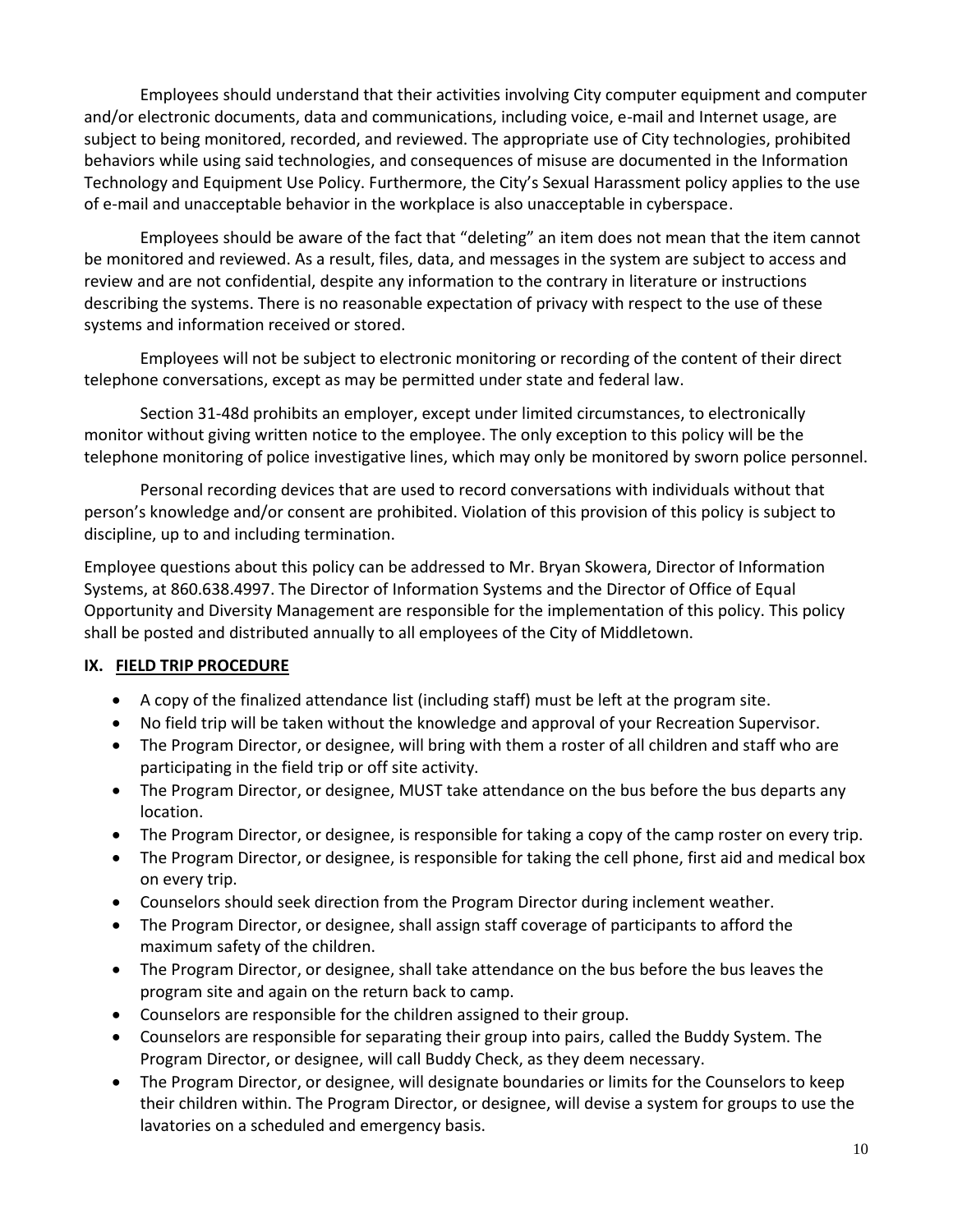Employees should understand that their activities involving City computer equipment and computer and/or electronic documents, data and communications, including voice, e-mail and Internet usage, are subject to being monitored, recorded, and reviewed. The appropriate use of City technologies, prohibited behaviors while using said technologies, and consequences of misuse are documented in the Information Technology and Equipment Use Policy. Furthermore, the City's Sexual Harassment policy applies to the use of e-mail and unacceptable behavior in the workplace is also unacceptable in cyberspace.

Employees should be aware of the fact that "deleting" an item does not mean that the item cannot be monitored and reviewed. As a result, files, data, and messages in the system are subject to access and review and are not confidential, despite any information to the contrary in literature or instructions describing the systems. There is no reasonable expectation of privacy with respect to the use of these systems and information received or stored.

Employees will not be subject to electronic monitoring or recording of the content of their direct telephone conversations, except as may be permitted under state and federal law.

Section 31-48d prohibits an employer, except under limited circumstances, to electronically monitor without giving written notice to the employee. The only exception to this policy will be the telephone monitoring of police investigative lines, which may only be monitored by sworn police personnel.

Personal recording devices that are used to record conversations with individuals without that person's knowledge and/or consent are prohibited. Violation of this provision of this policy is subject to discipline, up to and including termination.

Employee questions about this policy can be addressed to Mr. Bryan Skowera, Director of Information Systems, at 860.638.4997. The Director of Information Systems and the Director of Office of Equal Opportunity and Diversity Management are responsible for the implementation of this policy. This policy shall be posted and distributed annually to all employees of the City of Middletown.

# **IX. FIELD TRIP PROCEDURE**

- A copy of the finalized attendance list (including staff) must be left at the program site.
- No field trip will be taken without the knowledge and approval of your Recreation Supervisor.
- The Program Director, or designee, will bring with them a roster of all children and staff who are participating in the field trip or off site activity.
- The Program Director, or designee, MUST take attendance on the bus before the bus departs any location.
- The Program Director, or designee, is responsible for taking a copy of the camp roster on every trip.
- The Program Director, or designee, is responsible for taking the cell phone, first aid and medical box on every trip.
- Counselors should seek direction from the Program Director during inclement weather.
- The Program Director, or designee, shall assign staff coverage of participants to afford the maximum safety of the children.
- The Program Director, or designee, shall take attendance on the bus before the bus leaves the program site and again on the return back to camp.
- Counselors are responsible for the children assigned to their group.
- Counselors are responsible for separating their group into pairs, called the Buddy System. The Program Director, or designee, will call Buddy Check, as they deem necessary.
- The Program Director, or designee, will designate boundaries or limits for the Counselors to keep their children within. The Program Director, or designee, will devise a system for groups to use the lavatories on a scheduled and emergency basis.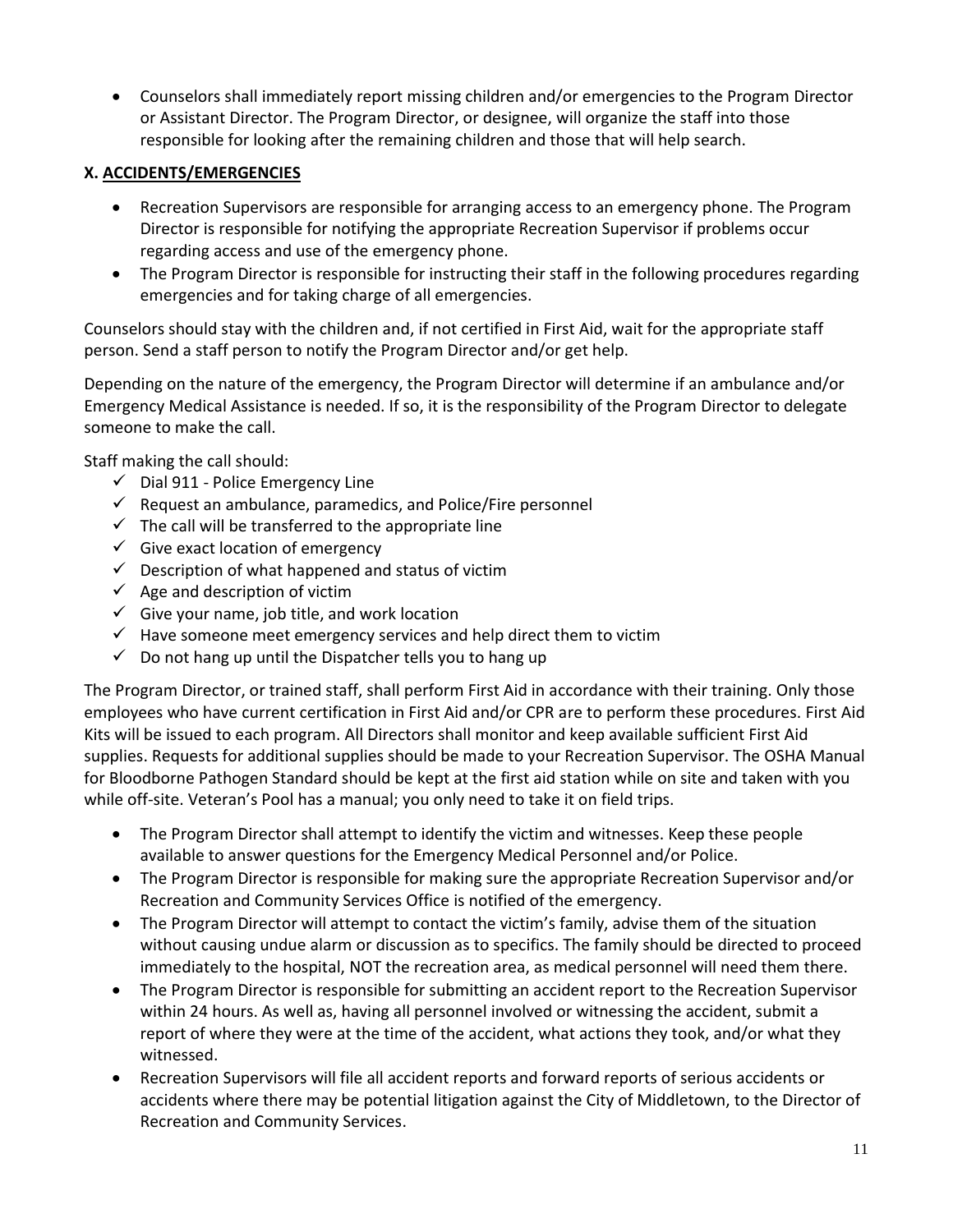Counselors shall immediately report missing children and/or emergencies to the Program Director or Assistant Director. The Program Director, or designee, will organize the staff into those responsible for looking after the remaining children and those that will help search.

## **X. ACCIDENTS/EMERGENCIES**

- Recreation Supervisors are responsible for arranging access to an emergency phone. The Program Director is responsible for notifying the appropriate Recreation Supervisor if problems occur regarding access and use of the emergency phone.
- The Program Director is responsible for instructing their staff in the following procedures regarding emergencies and for taking charge of all emergencies.

Counselors should stay with the children and, if not certified in First Aid, wait for the appropriate staff person. Send a staff person to notify the Program Director and/or get help.

Depending on the nature of the emergency, the Program Director will determine if an ambulance and/or Emergency Medical Assistance is needed. If so, it is the responsibility of the Program Director to delegate someone to make the call.

Staff making the call should:

- $\checkmark$  Dial 911 Police Emergency Line
- $\checkmark$  Request an ambulance, paramedics, and Police/Fire personnel
- $\checkmark$  The call will be transferred to the appropriate line
- $\checkmark$  Give exact location of emergency
- $\checkmark$  Description of what happened and status of victim
- $\checkmark$  Age and description of victim
- $\checkmark$  Give your name, job title, and work location
- $\checkmark$  Have someone meet emergency services and help direct them to victim
- $\checkmark$  Do not hang up until the Dispatcher tells you to hang up

The Program Director, or trained staff, shall perform First Aid in accordance with their training. Only those employees who have current certification in First Aid and/or CPR are to perform these procedures. First Aid Kits will be issued to each program. All Directors shall monitor and keep available sufficient First Aid supplies. Requests for additional supplies should be made to your Recreation Supervisor. The OSHA Manual for Bloodborne Pathogen Standard should be kept at the first aid station while on site and taken with you while off-site. Veteran's Pool has a manual; you only need to take it on field trips.

- The Program Director shall attempt to identify the victim and witnesses. Keep these people available to answer questions for the Emergency Medical Personnel and/or Police.
- The Program Director is responsible for making sure the appropriate Recreation Supervisor and/or Recreation and Community Services Office is notified of the emergency.
- The Program Director will attempt to contact the victim's family, advise them of the situation without causing undue alarm or discussion as to specifics. The family should be directed to proceed immediately to the hospital, NOT the recreation area, as medical personnel will need them there.
- The Program Director is responsible for submitting an accident report to the Recreation Supervisor within 24 hours. As well as, having all personnel involved or witnessing the accident, submit a report of where they were at the time of the accident, what actions they took, and/or what they witnessed.
- Recreation Supervisors will file all accident reports and forward reports of serious accidents or accidents where there may be potential litigation against the City of Middletown, to the Director of Recreation and Community Services.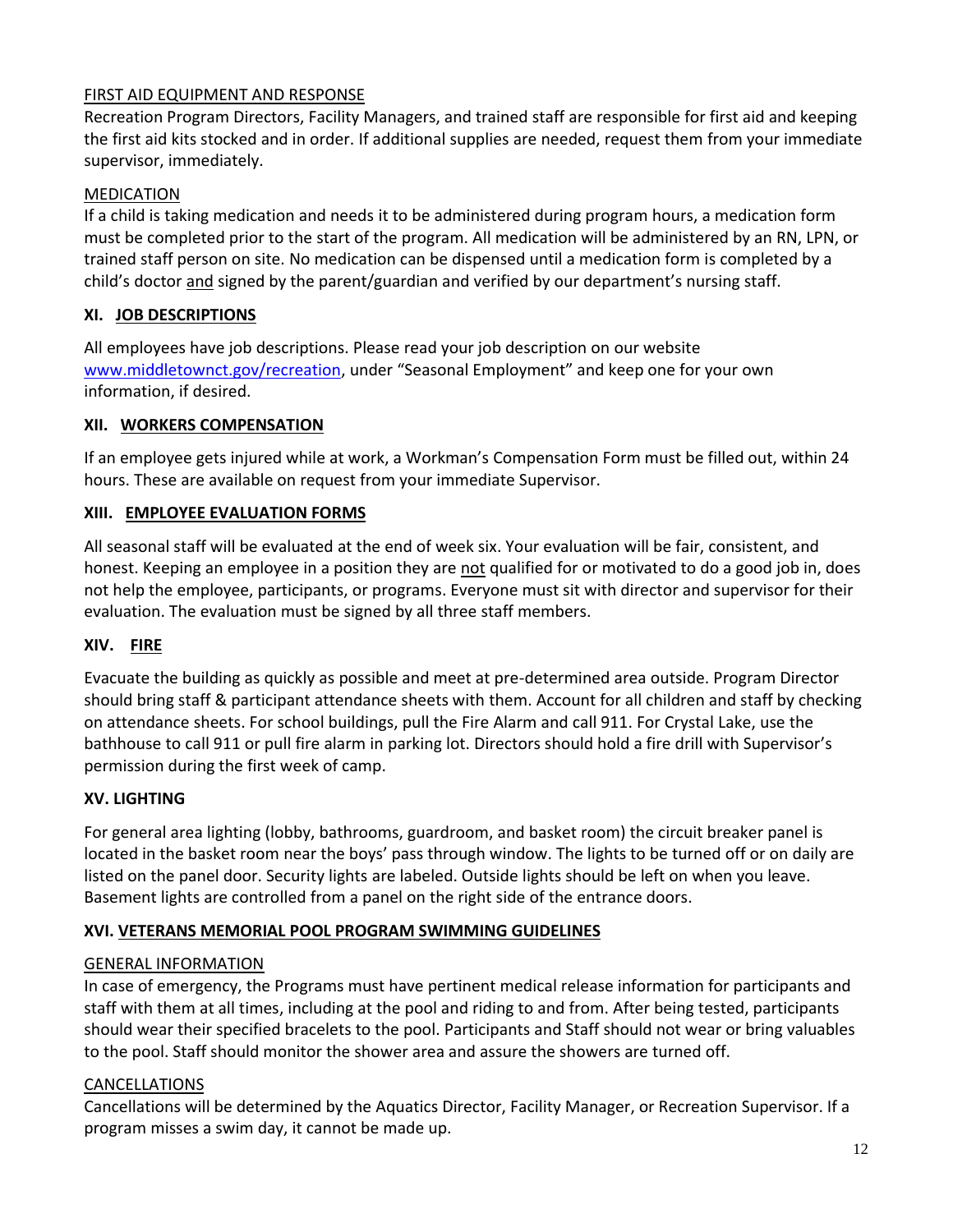## FIRST AID EQUIPMENT AND RESPONSE

Recreation Program Directors, Facility Managers, and trained staff are responsible for first aid and keeping the first aid kits stocked and in order. If additional supplies are needed, request them from your immediate supervisor, immediately.

## MEDICATION

If a child is taking medication and needs it to be administered during program hours, a medication form must be completed prior to the start of the program. All medication will be administered by an RN, LPN, or trained staff person on site. No medication can be dispensed until a medication form is completed by a child's doctor and signed by the parent/guardian and verified by our department's nursing staff.

## **XI. JOB DESCRIPTIONS**

All employees have job descriptions. Please read your job description on our website [www.middletownct.gov/recreation,](http://www.middletownct.gov/recreation) under "Seasonal Employment" and keep one for your own information, if desired.

## **XII. WORKERS COMPENSATION**

If an employee gets injured while at work, a Workman's Compensation Form must be filled out, within 24 hours. These are available on request from your immediate Supervisor.

## **XIII. EMPLOYEE EVALUATION FORMS**

All seasonal staff will be evaluated at the end of week six. Your evaluation will be fair, consistent, and honest. Keeping an employee in a position they are not qualified for or motivated to do a good job in, does not help the employee, participants, or programs. Everyone must sit with director and supervisor for their evaluation. The evaluation must be signed by all three staff members.

## **XIV. FIRE**

Evacuate the building as quickly as possible and meet at pre-determined area outside. Program Director should bring staff & participant attendance sheets with them. Account for all children and staff by checking on attendance sheets. For school buildings, pull the Fire Alarm and call 911. For Crystal Lake, use the bathhouse to call 911 or pull fire alarm in parking lot. Directors should hold a fire drill with Supervisor's permission during the first week of camp.

## **XV. LIGHTING**

For general area lighting (lobby, bathrooms, guardroom, and basket room) the circuit breaker panel is located in the basket room near the boys' pass through window. The lights to be turned off or on daily are listed on the panel door. Security lights are labeled. Outside lights should be left on when you leave. Basement lights are controlled from a panel on the right side of the entrance doors.

## **XVI. VETERANS MEMORIAL POOL PROGRAM SWIMMING GUIDELINES**

## GENERAL INFORMATION

In case of emergency, the Programs must have pertinent medical release information for participants and staff with them at all times, including at the pool and riding to and from. After being tested, participants should wear their specified bracelets to the pool. Participants and Staff should not wear or bring valuables to the pool. Staff should monitor the shower area and assure the showers are turned off.

## CANCELLATIONS

Cancellations will be determined by the Aquatics Director, Facility Manager, or Recreation Supervisor. If a program misses a swim day, it cannot be made up.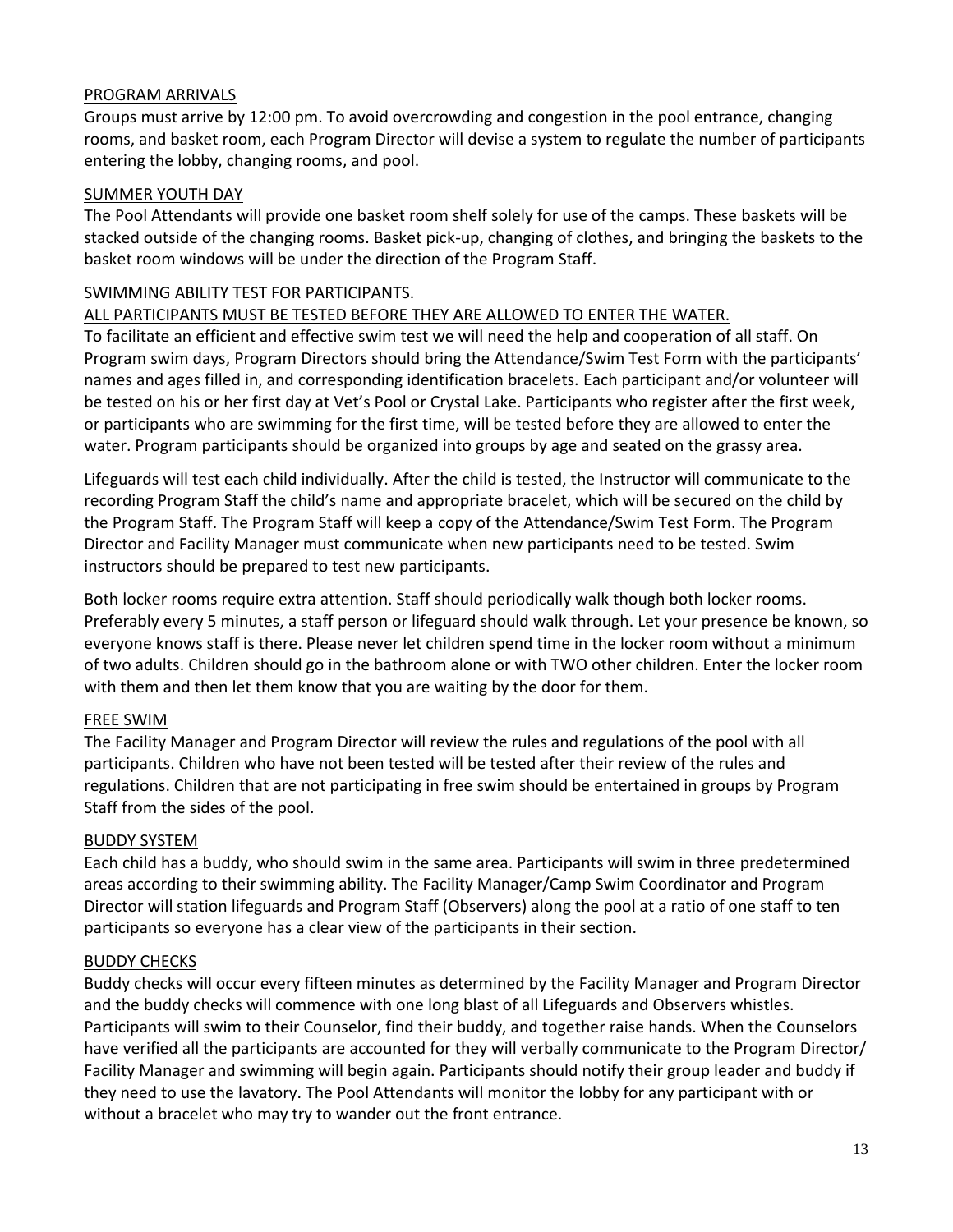#### PROGRAM ARRIVALS

Groups must arrive by 12:00 pm. To avoid overcrowding and congestion in the pool entrance, changing rooms, and basket room, each Program Director will devise a system to regulate the number of participants entering the lobby, changing rooms, and pool.

#### SUMMER YOUTH DAY

The Pool Attendants will provide one basket room shelf solely for use of the camps. These baskets will be stacked outside of the changing rooms. Basket pick-up, changing of clothes, and bringing the baskets to the basket room windows will be under the direction of the Program Staff.

#### SWIMMING ABILITY TEST FOR PARTICIPANTS.

#### ALL PARTICIPANTS MUST BE TESTED BEFORE THEY ARE ALLOWED TO ENTER THE WATER.

To facilitate an efficient and effective swim test we will need the help and cooperation of all staff. On Program swim days, Program Directors should bring the Attendance/Swim Test Form with the participants' names and ages filled in, and corresponding identification bracelets. Each participant and/or volunteer will be tested on his or her first day at Vet's Pool or Crystal Lake. Participants who register after the first week, or participants who are swimming for the first time, will be tested before they are allowed to enter the water. Program participants should be organized into groups by age and seated on the grassy area.

Lifeguards will test each child individually. After the child is tested, the Instructor will communicate to the recording Program Staff the child's name and appropriate bracelet, which will be secured on the child by the Program Staff. The Program Staff will keep a copy of the Attendance/Swim Test Form. The Program Director and Facility Manager must communicate when new participants need to be tested. Swim instructors should be prepared to test new participants.

Both locker rooms require extra attention. Staff should periodically walk though both locker rooms. Preferably every 5 minutes, a staff person or lifeguard should walk through. Let your presence be known, so everyone knows staff is there. Please never let children spend time in the locker room without a minimum of two adults. Children should go in the bathroom alone or with TWO other children. Enter the locker room with them and then let them know that you are waiting by the door for them.

## FREE SWIM

The Facility Manager and Program Director will review the rules and regulations of the pool with all participants. Children who have not been tested will be tested after their review of the rules and regulations. Children that are not participating in free swim should be entertained in groups by Program Staff from the sides of the pool.

#### BUDDY SYSTEM

Each child has a buddy, who should swim in the same area. Participants will swim in three predetermined areas according to their swimming ability. The Facility Manager/Camp Swim Coordinator and Program Director will station lifeguards and Program Staff (Observers) along the pool at a ratio of one staff to ten participants so everyone has a clear view of the participants in their section.

## BUDDY CHECKS

Buddy checks will occur every fifteen minutes as determined by the Facility Manager and Program Director and the buddy checks will commence with one long blast of all Lifeguards and Observers whistles. Participants will swim to their Counselor, find their buddy, and together raise hands. When the Counselors have verified all the participants are accounted for they will verbally communicate to the Program Director/ Facility Manager and swimming will begin again. Participants should notify their group leader and buddy if they need to use the lavatory. The Pool Attendants will monitor the lobby for any participant with or without a bracelet who may try to wander out the front entrance.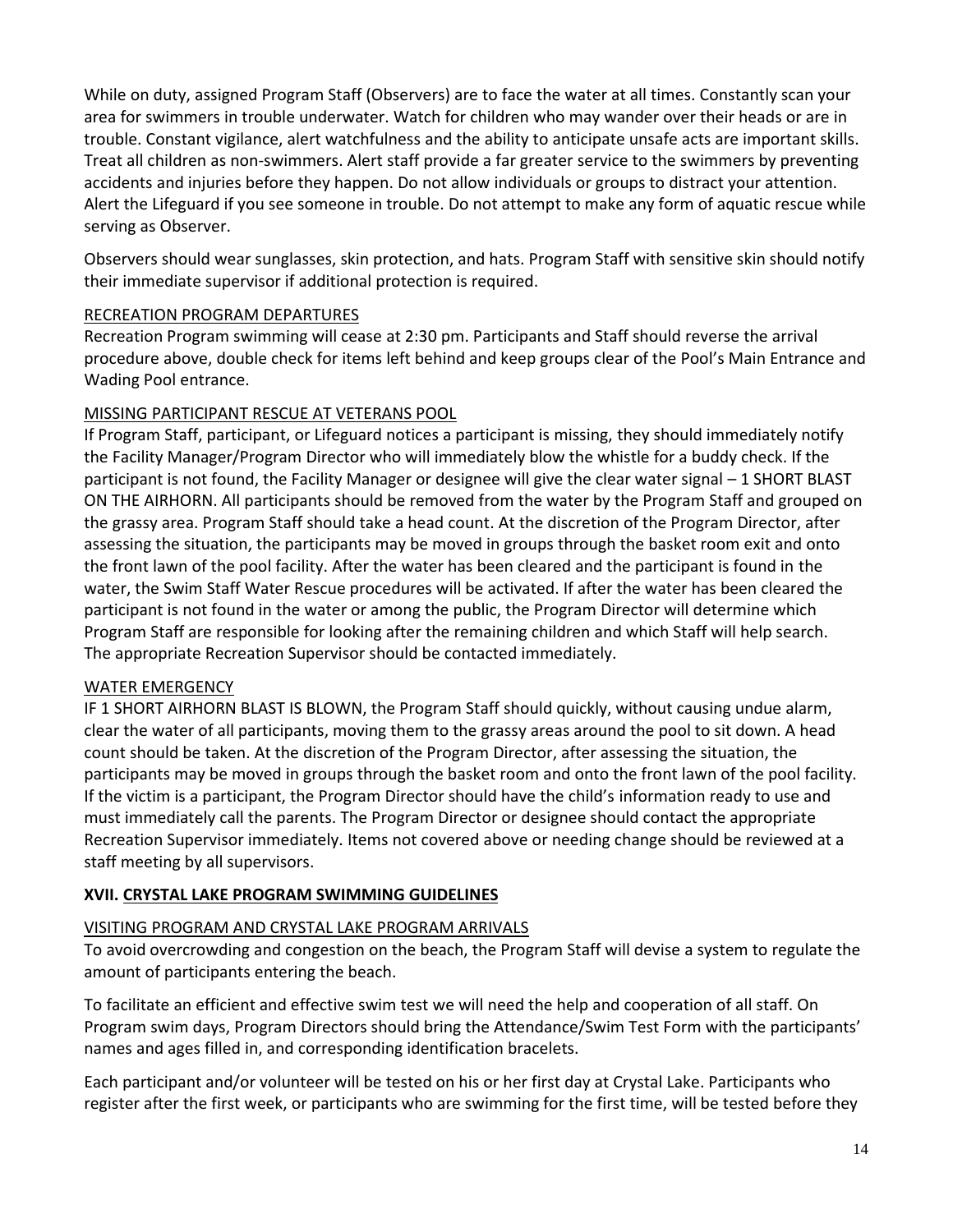While on duty, assigned Program Staff (Observers) are to face the water at all times. Constantly scan your area for swimmers in trouble underwater. Watch for children who may wander over their heads or are in trouble. Constant vigilance, alert watchfulness and the ability to anticipate unsafe acts are important skills. Treat all children as non-swimmers. Alert staff provide a far greater service to the swimmers by preventing accidents and injuries before they happen. Do not allow individuals or groups to distract your attention. Alert the Lifeguard if you see someone in trouble. Do not attempt to make any form of aquatic rescue while serving as Observer.

Observers should wear sunglasses, skin protection, and hats. Program Staff with sensitive skin should notify their immediate supervisor if additional protection is required.

## RECREATION PROGRAM DEPARTURES

Recreation Program swimming will cease at 2:30 pm. Participants and Staff should reverse the arrival procedure above, double check for items left behind and keep groups clear of the Pool's Main Entrance and Wading Pool entrance.

# MISSING PARTICIPANT RESCUE AT VETERANS POOL

If Program Staff, participant, or Lifeguard notices a participant is missing, they should immediately notify the Facility Manager/Program Director who will immediately blow the whistle for a buddy check. If the participant is not found, the Facility Manager or designee will give the clear water signal – 1 SHORT BLAST ON THE AIRHORN. All participants should be removed from the water by the Program Staff and grouped on the grassy area. Program Staff should take a head count. At the discretion of the Program Director, after assessing the situation, the participants may be moved in groups through the basket room exit and onto the front lawn of the pool facility. After the water has been cleared and the participant is found in the water, the Swim Staff Water Rescue procedures will be activated. If after the water has been cleared the participant is not found in the water or among the public, the Program Director will determine which Program Staff are responsible for looking after the remaining children and which Staff will help search. The appropriate Recreation Supervisor should be contacted immediately.

## WATER EMERGENCY

IF 1 SHORT AIRHORN BLAST IS BLOWN, the Program Staff should quickly, without causing undue alarm, clear the water of all participants, moving them to the grassy areas around the pool to sit down. A head count should be taken. At the discretion of the Program Director, after assessing the situation, the participants may be moved in groups through the basket room and onto the front lawn of the pool facility. If the victim is a participant, the Program Director should have the child's information ready to use and must immediately call the parents. The Program Director or designee should contact the appropriate Recreation Supervisor immediately. Items not covered above or needing change should be reviewed at a staff meeting by all supervisors.

# **XVII. CRYSTAL LAKE PROGRAM SWIMMING GUIDELINES**

## VISITING PROGRAM AND CRYSTAL LAKE PROGRAM ARRIVALS

To avoid overcrowding and congestion on the beach, the Program Staff will devise a system to regulate the amount of participants entering the beach.

To facilitate an efficient and effective swim test we will need the help and cooperation of all staff. On Program swim days, Program Directors should bring the Attendance/Swim Test Form with the participants' names and ages filled in, and corresponding identification bracelets.

Each participant and/or volunteer will be tested on his or her first day at Crystal Lake. Participants who register after the first week, or participants who are swimming for the first time, will be tested before they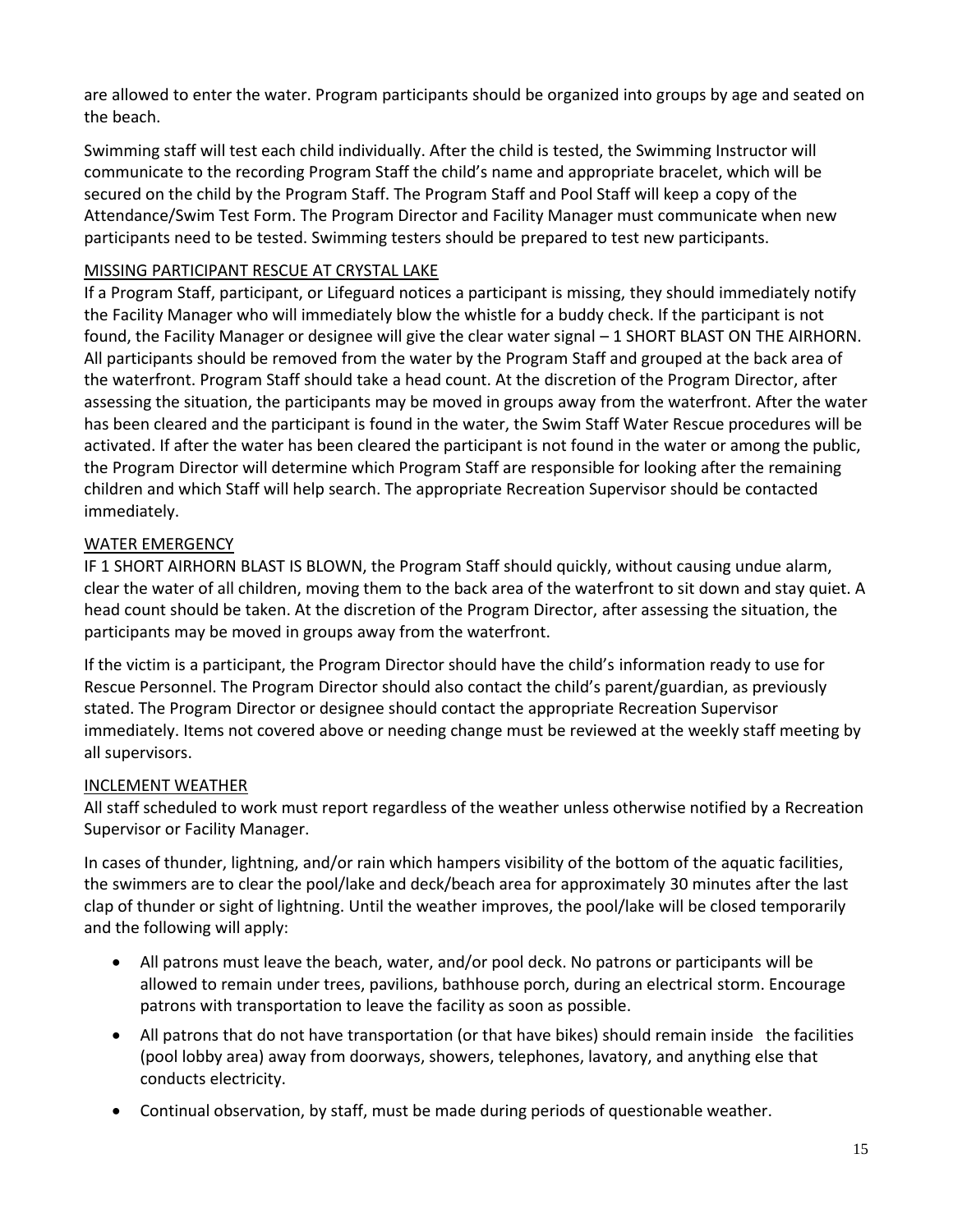are allowed to enter the water. Program participants should be organized into groups by age and seated on the beach.

Swimming staff will test each child individually. After the child is tested, the Swimming Instructor will communicate to the recording Program Staff the child's name and appropriate bracelet, which will be secured on the child by the Program Staff. The Program Staff and Pool Staff will keep a copy of the Attendance/Swim Test Form. The Program Director and Facility Manager must communicate when new participants need to be tested. Swimming testers should be prepared to test new participants.

# MISSING PARTICIPANT RESCUE AT CRYSTAL LAKE

If a Program Staff, participant, or Lifeguard notices a participant is missing, they should immediately notify the Facility Manager who will immediately blow the whistle for a buddy check. If the participant is not found, the Facility Manager or designee will give the clear water signal – 1 SHORT BLAST ON THE AIRHORN. All participants should be removed from the water by the Program Staff and grouped at the back area of the waterfront. Program Staff should take a head count. At the discretion of the Program Director, after assessing the situation, the participants may be moved in groups away from the waterfront. After the water has been cleared and the participant is found in the water, the Swim Staff Water Rescue procedures will be activated. If after the water has been cleared the participant is not found in the water or among the public, the Program Director will determine which Program Staff are responsible for looking after the remaining children and which Staff will help search. The appropriate Recreation Supervisor should be contacted immediately.

## WATER EMERGENCY

IF 1 SHORT AIRHORN BLAST IS BLOWN, the Program Staff should quickly, without causing undue alarm, clear the water of all children, moving them to the back area of the waterfront to sit down and stay quiet. A head count should be taken. At the discretion of the Program Director, after assessing the situation, the participants may be moved in groups away from the waterfront.

If the victim is a participant, the Program Director should have the child's information ready to use for Rescue Personnel. The Program Director should also contact the child's parent/guardian, as previously stated. The Program Director or designee should contact the appropriate Recreation Supervisor immediately. Items not covered above or needing change must be reviewed at the weekly staff meeting by all supervisors.

## INCLEMENT WEATHER

All staff scheduled to work must report regardless of the weather unless otherwise notified by a Recreation Supervisor or Facility Manager.

In cases of thunder, lightning, and/or rain which hampers visibility of the bottom of the aquatic facilities, the swimmers are to clear the pool/lake and deck/beach area for approximately 30 minutes after the last clap of thunder or sight of lightning. Until the weather improves, the pool/lake will be closed temporarily and the following will apply:

- All patrons must leave the beach, water, and/or pool deck. No patrons or participants will be allowed to remain under trees, pavilions, bathhouse porch, during an electrical storm. Encourage patrons with transportation to leave the facility as soon as possible.
- All patrons that do not have transportation (or that have bikes) should remain inside the facilities (pool lobby area) away from doorways, showers, telephones, lavatory, and anything else that conducts electricity.
- Continual observation, by staff, must be made during periods of questionable weather.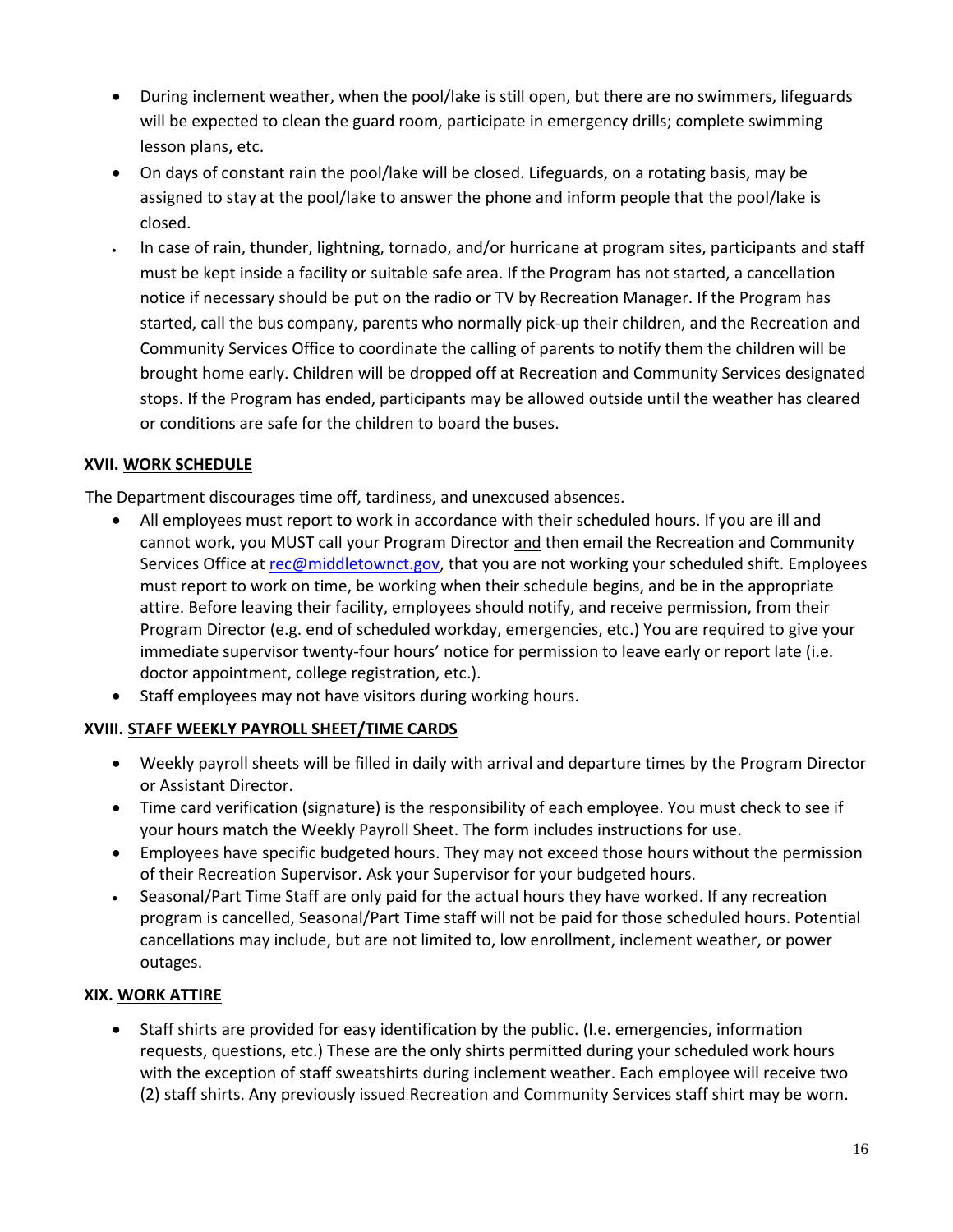- During inclement weather, when the pool/lake is still open, but there are no swimmers, lifeguards will be expected to clean the guard room, participate in emergency drills; complete swimming lesson plans, etc.
- On days of constant rain the pool/lake will be closed. Lifeguards, on a rotating basis, may be assigned to stay at the pool/lake to answer the phone and inform people that the pool/lake is closed.
- In case of rain, thunder, lightning, tornado, and/or hurricane at program sites, participants and staff must be kept inside a facility or suitable safe area. If the Program has not started, a cancellation notice if necessary should be put on the radio or TV by Recreation Manager. If the Program has started, call the bus company, parents who normally pick-up their children, and the Recreation and Community Services Office to coordinate the calling of parents to notify them the children will be brought home early. Children will be dropped off at Recreation and Community Services designated stops. If the Program has ended, participants may be allowed outside until the weather has cleared or conditions are safe for the children to board the buses.

## **XVII. WORK SCHEDULE**

The Department discourages time off, tardiness, and unexcused absences.

- All employees must report to work in accordance with their scheduled hours. If you are ill and cannot work, you MUST call your Program Director and then email the Recreation and Community Services Office at [rec@middletownct.gov,](mailto:rec@middletownct.gov) that you are not working your scheduled shift. Employees must report to work on time, be working when their schedule begins, and be in the appropriate attire. Before leaving their facility, employees should notify, and receive permission, from their Program Director (e.g. end of scheduled workday, emergencies, etc.) You are required to give your immediate supervisor twenty-four hours' notice for permission to leave early or report late (i.e. doctor appointment, college registration, etc.).
- Staff employees may not have visitors during working hours.

# **XVIII. STAFF WEEKLY PAYROLL SHEET/TIME CARDS**

- Weekly payroll sheets will be filled in daily with arrival and departure times by the Program Director or Assistant Director.
- Time card verification (signature) is the responsibility of each employee. You must check to see if your hours match the Weekly Payroll Sheet. The form includes instructions for use.
- Employees have specific budgeted hours. They may not exceed those hours without the permission of their Recreation Supervisor. Ask your Supervisor for your budgeted hours.
- Seasonal/Part Time Staff are only paid for the actual hours they have worked. If any recreation program is cancelled, Seasonal/Part Time staff will not be paid for those scheduled hours. Potential cancellations may include, but are not limited to, low enrollment, inclement weather, or power outages.

## **XIX. WORK ATTIRE**

 Staff shirts are provided for easy identification by the public. (I.e. emergencies, information requests, questions, etc.) These are the only shirts permitted during your scheduled work hours with the exception of staff sweatshirts during inclement weather. Each employee will receive two (2) staff shirts. Any previously issued Recreation and Community Services staff shirt may be worn.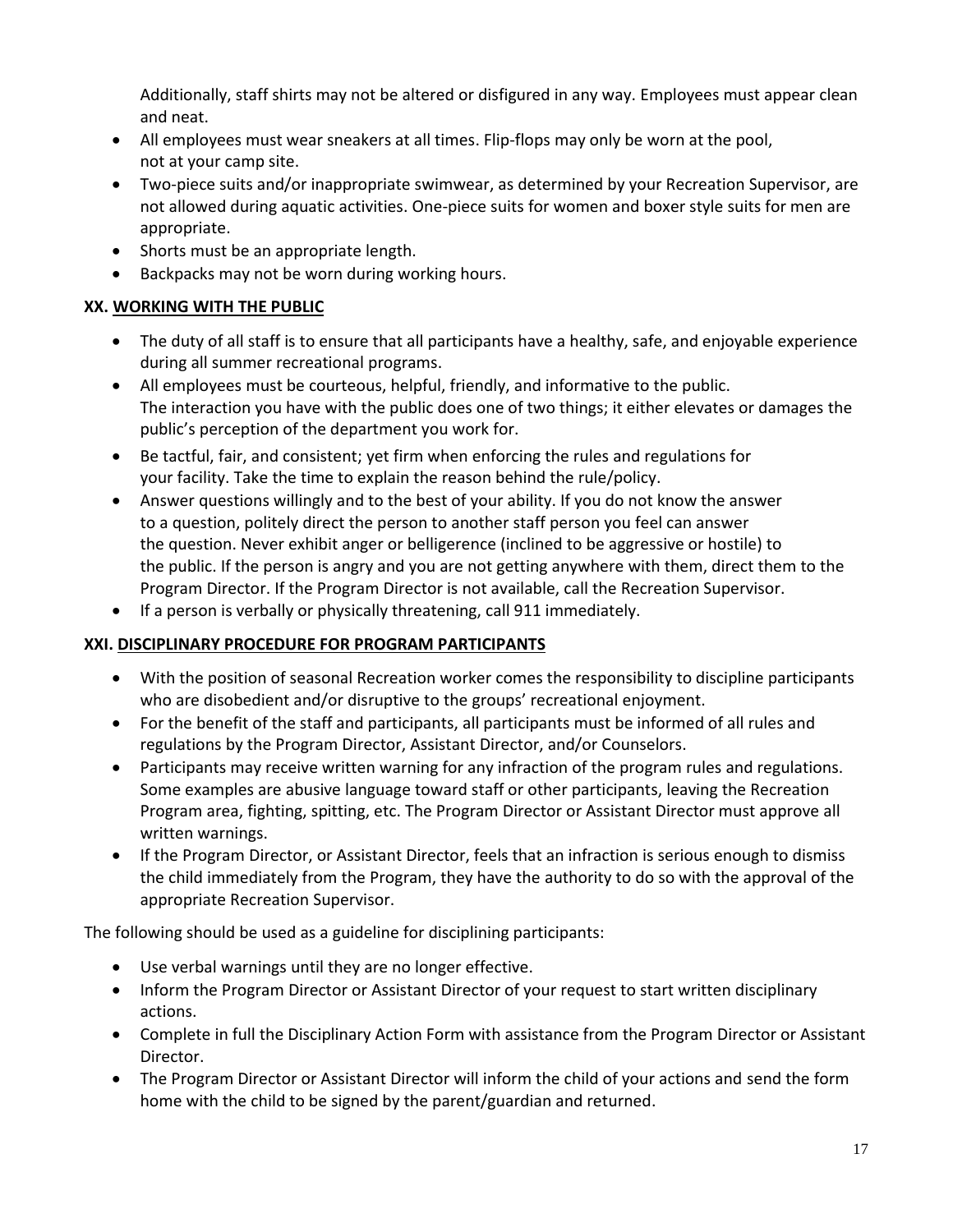Additionally, staff shirts may not be altered or disfigured in any way. Employees must appear clean and neat.

- All employees must wear sneakers at all times. Flip-flops may only be worn at the pool, not at your camp site.
- Two-piece suits and/or inappropriate swimwear, as determined by your Recreation Supervisor, are not allowed during aquatic activities. One-piece suits for women and boxer style suits for men are appropriate.
- Shorts must be an appropriate length.
- Backpacks may not be worn during working hours.

# **XX. WORKING WITH THE PUBLIC**

- The duty of all staff is to ensure that all participants have a healthy, safe, and enjoyable experience during all summer recreational programs.
- All employees must be courteous, helpful, friendly, and informative to the public. The interaction you have with the public does one of two things; it either elevates or damages the public's perception of the department you work for.
- Be tactful, fair, and consistent; yet firm when enforcing the rules and regulations for your facility. Take the time to explain the reason behind the rule/policy.
- Answer questions willingly and to the best of your ability. If you do not know the answer to a question, politely direct the person to another staff person you feel can answer the question. Never exhibit anger or belligerence (inclined to be aggressive or hostile) to the public. If the person is angry and you are not getting anywhere with them, direct them to the Program Director. If the Program Director is not available, call the Recreation Supervisor.
- If a person is verbally or physically threatening, call 911 immediately.

# **XXI. DISCIPLINARY PROCEDURE FOR PROGRAM PARTICIPANTS**

- With the position of seasonal Recreation worker comes the responsibility to discipline participants who are disobedient and/or disruptive to the groups' recreational enjoyment.
- For the benefit of the staff and participants, all participants must be informed of all rules and regulations by the Program Director, Assistant Director, and/or Counselors.
- Participants may receive written warning for any infraction of the program rules and regulations. Some examples are abusive language toward staff or other participants, leaving the Recreation Program area, fighting, spitting, etc. The Program Director or Assistant Director must approve all written warnings.
- If the Program Director, or Assistant Director, feels that an infraction is serious enough to dismiss the child immediately from the Program, they have the authority to do so with the approval of the appropriate Recreation Supervisor.

The following should be used as a guideline for disciplining participants:

- Use verbal warnings until they are no longer effective.
- Inform the Program Director or Assistant Director of your request to start written disciplinary actions.
- Complete in full the Disciplinary Action Form with assistance from the Program Director or Assistant Director.
- The Program Director or Assistant Director will inform the child of your actions and send the form home with the child to be signed by the parent/guardian and returned.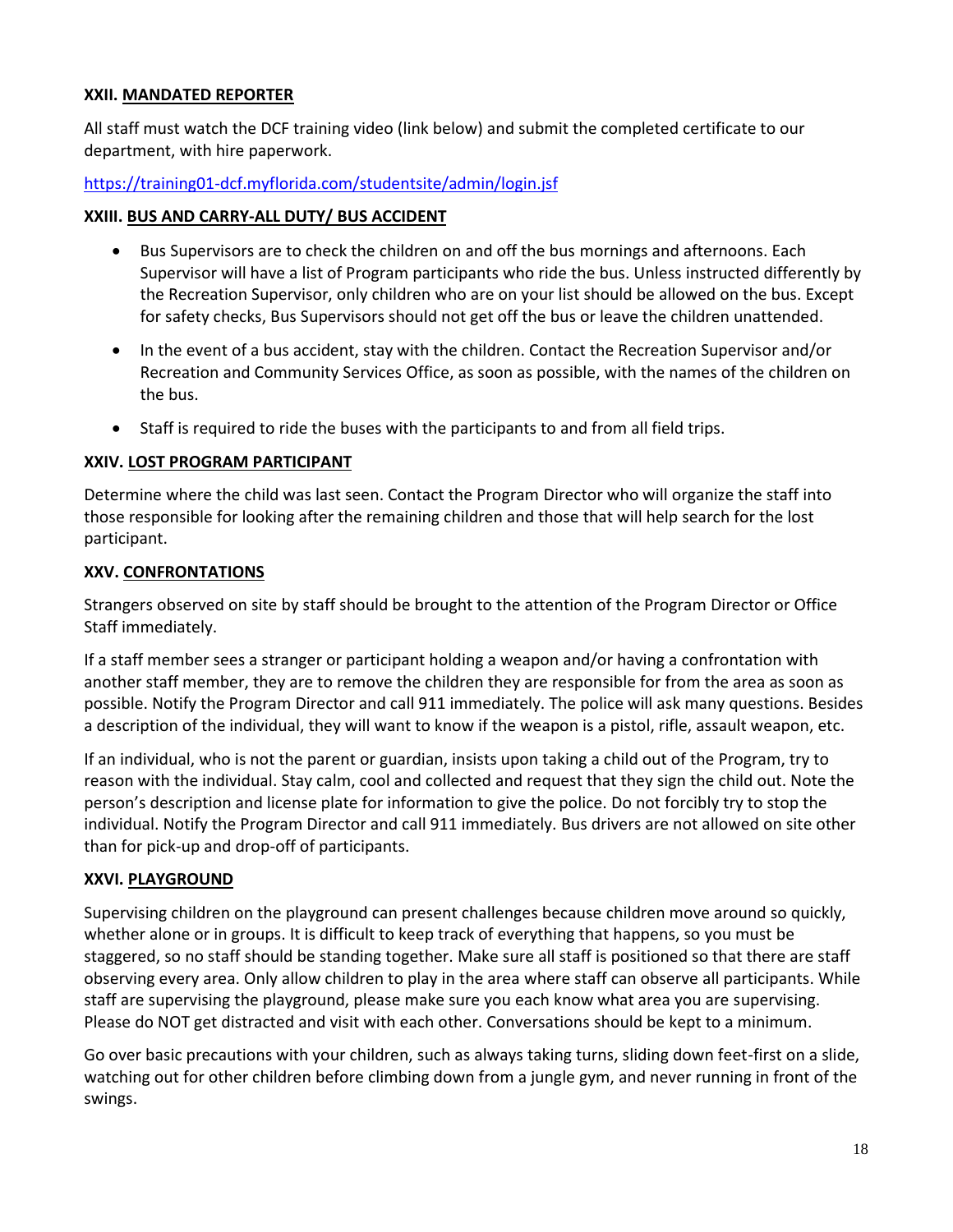## **XXII. MANDATED REPORTER**

All staff must watch the DCF training video (link below) and submit the completed certificate to our department, with hire paperwork.

#### <https://training01-dcf.myflorida.com/studentsite/admin/login.jsf>

#### **XXIII. BUS AND CARRY-ALL DUTY/ BUS ACCIDENT**

- Bus Supervisors are to check the children on and off the bus mornings and afternoons. Each Supervisor will have a list of Program participants who ride the bus. Unless instructed differently by the Recreation Supervisor, only children who are on your list should be allowed on the bus. Except for safety checks, Bus Supervisors should not get off the bus or leave the children unattended.
- In the event of a bus accident, stay with the children. Contact the Recreation Supervisor and/or Recreation and Community Services Office, as soon as possible, with the names of the children on the bus.
- Staff is required to ride the buses with the participants to and from all field trips.

#### **XXIV. LOST PROGRAM PARTICIPANT**

Determine where the child was last seen. Contact the Program Director who will organize the staff into those responsible for looking after the remaining children and those that will help search for the lost participant.

#### **XXV. CONFRONTATIONS**

Strangers observed on site by staff should be brought to the attention of the Program Director or Office Staff immediately.

If a staff member sees a stranger or participant holding a weapon and/or having a confrontation with another staff member, they are to remove the children they are responsible for from the area as soon as possible. Notify the Program Director and call 911 immediately. The police will ask many questions. Besides a description of the individual, they will want to know if the weapon is a pistol, rifle, assault weapon, etc.

If an individual, who is not the parent or guardian, insists upon taking a child out of the Program, try to reason with the individual. Stay calm, cool and collected and request that they sign the child out. Note the person's description and license plate for information to give the police. Do not forcibly try to stop the individual. Notify the Program Director and call 911 immediately. Bus drivers are not allowed on site other than for pick-up and drop-off of participants.

#### **XXVI. PLAYGROUND**

Supervising children on the playground can present challenges because children move around so quickly, whether alone or in groups. It is difficult to keep track of everything that happens, so you must be staggered, so no staff should be standing together. Make sure all staff is positioned so that there are staff observing every area. Only allow children to play in the area where staff can observe all participants. While staff are supervising the playground, please make sure you each know what area you are supervising. Please do NOT get distracted and visit with each other. Conversations should be kept to a minimum.

Go over basic precautions with your children, such as always taking turns, sliding down feet-first on a slide, watching out for other children before climbing down from a jungle gym, and never running in front of the swings.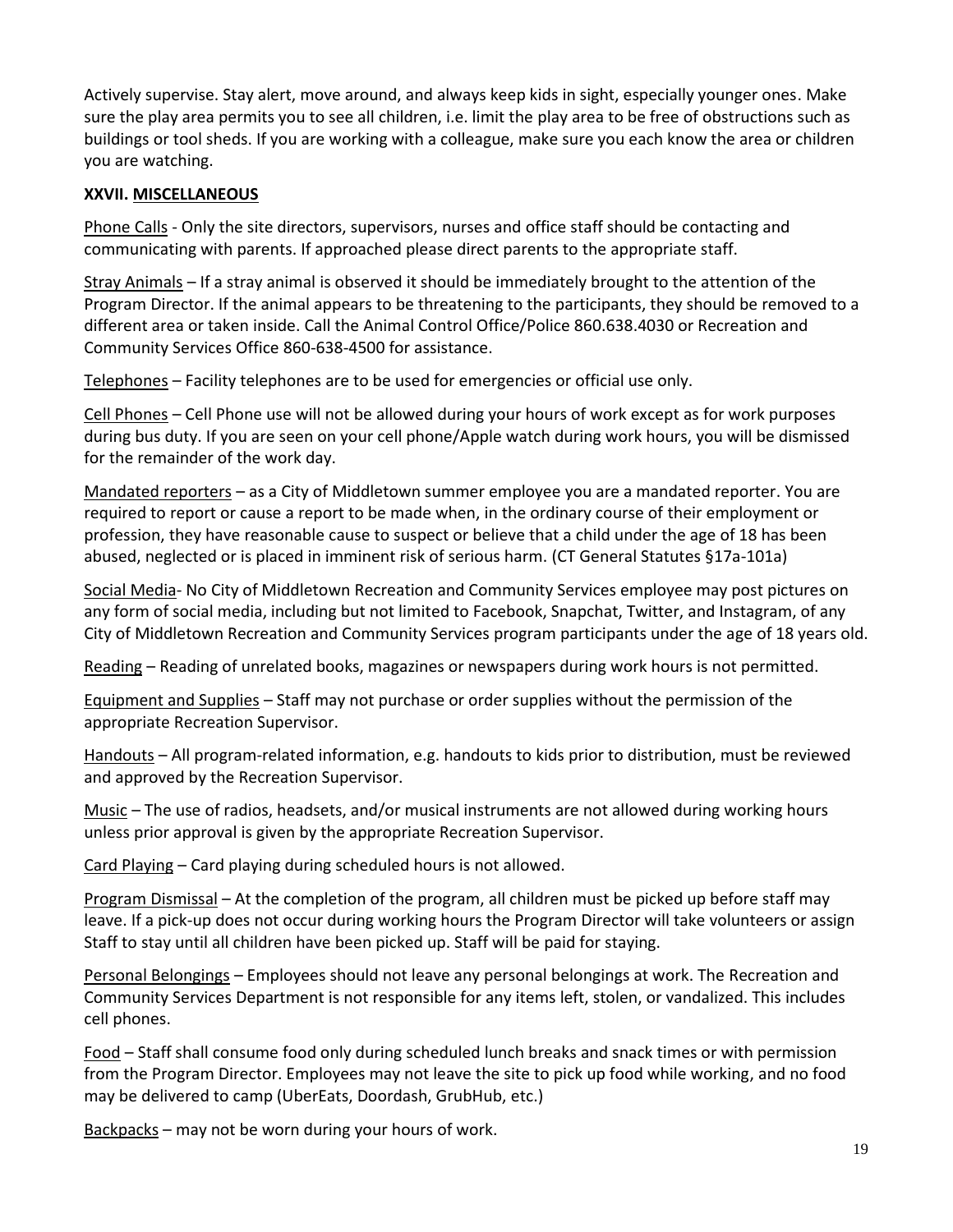Actively supervise. Stay alert, move around, and always keep kids in sight, especially younger ones. Make sure the play area permits you to see all children, i.e. limit the play area to be free of obstructions such as buildings or tool sheds. If you are working with a colleague, make sure you each know the area or children you are watching.

#### **XXVII. MISCELLANEOUS**

Phone Calls - Only the site directors, supervisors, nurses and office staff should be contacting and communicating with parents. If approached please direct parents to the appropriate staff.

Stray Animals – If a stray animal is observed it should be immediately brought to the attention of the Program Director. If the animal appears to be threatening to the participants, they should be removed to a different area or taken inside. Call the Animal Control Office/Police 860.638.4030 or Recreation and Community Services Office 860-638-4500 for assistance.

Telephones – Facility telephones are to be used for emergencies or official use only.

Cell Phones – Cell Phone use will not be allowed during your hours of work except as for work purposes during bus duty. If you are seen on your cell phone/Apple watch during work hours, you will be dismissed for the remainder of the work day.

Mandated reporters – as a City of Middletown summer employee you are a mandated reporter. You are required to report or cause a report to be made when, in the ordinary course of their employment or profession, they have reasonable cause to suspect or believe that a child under the age of 18 has been abused, neglected or is placed in imminent risk of serious harm. (CT General Statutes §17a-101a)

Social Media- No City of Middletown Recreation and Community Services employee may post pictures on any form of social media, including but not limited to Facebook, Snapchat, Twitter, and Instagram, of any City of Middletown Recreation and Community Services program participants under the age of 18 years old.

Reading – Reading of unrelated books, magazines or newspapers during work hours is not permitted.

Equipment and Supplies – Staff may not purchase or order supplies without the permission of the appropriate Recreation Supervisor.

Handouts – All program-related information, e.g. handouts to kids prior to distribution, must be reviewed and approved by the Recreation Supervisor.

Music – The use of radios, headsets, and/or musical instruments are not allowed during working hours unless prior approval is given by the appropriate Recreation Supervisor.

Card Playing – Card playing during scheduled hours is not allowed.

Program Dismissal – At the completion of the program, all children must be picked up before staff may leave. If a pick-up does not occur during working hours the Program Director will take volunteers or assign Staff to stay until all children have been picked up. Staff will be paid for staying.

Personal Belongings – Employees should not leave any personal belongings at work. The Recreation and Community Services Department is not responsible for any items left, stolen, or vandalized. This includes cell phones.

Food – Staff shall consume food only during scheduled lunch breaks and snack times or with permission from the Program Director. Employees may not leave the site to pick up food while working, and no food may be delivered to camp (UberEats, Doordash, GrubHub, etc.)

Backpacks – may not be worn during your hours of work.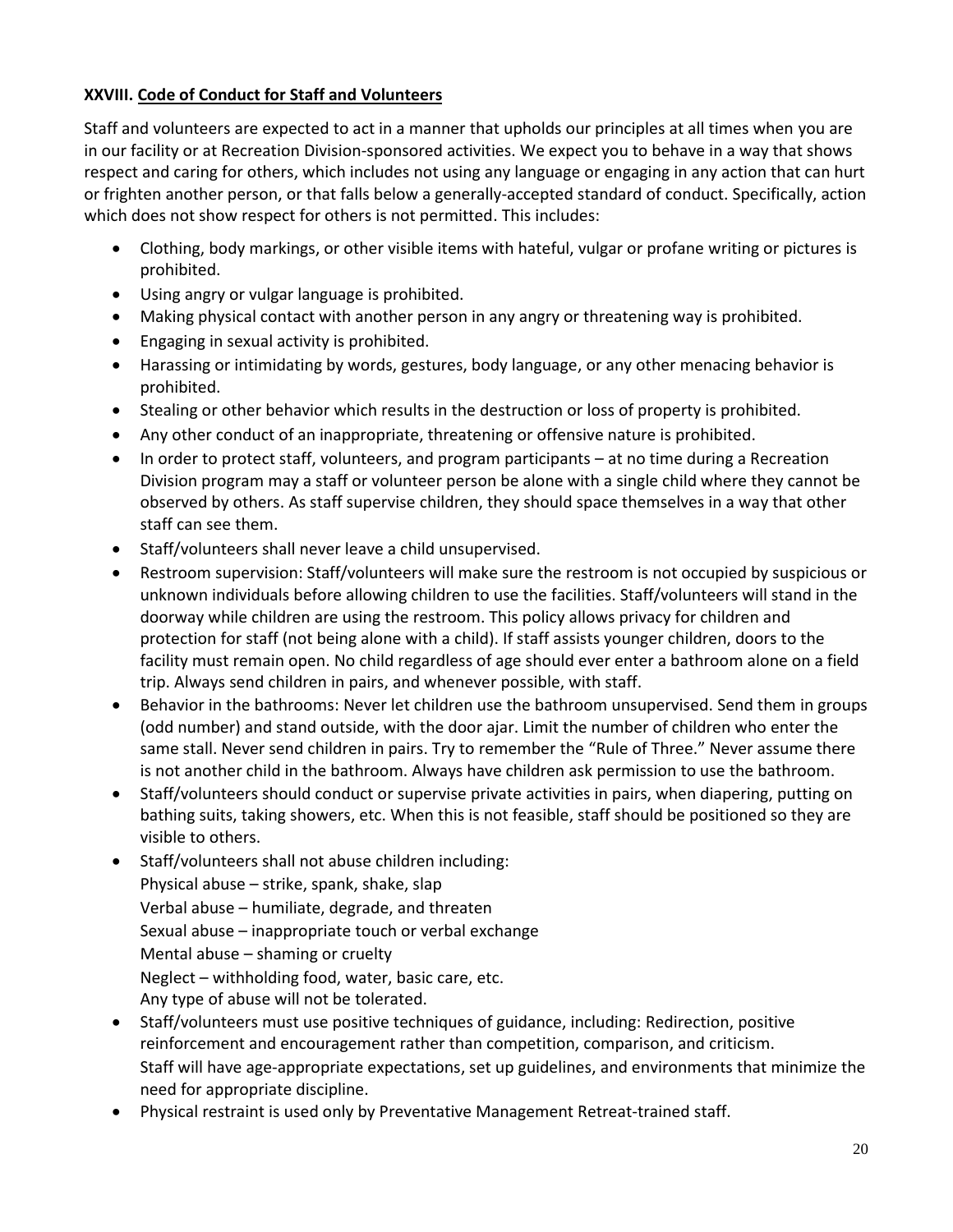# **XXVIII. Code of Conduct for Staff and Volunteers**

Staff and volunteers are expected to act in a manner that upholds our principles at all times when you are in our facility or at Recreation Division-sponsored activities. We expect you to behave in a way that shows respect and caring for others, which includes not using any language or engaging in any action that can hurt or frighten another person, or that falls below a generally-accepted standard of conduct. Specifically, action which does not show respect for others is not permitted. This includes:

- Clothing, body markings, or other visible items with hateful, vulgar or profane writing or pictures is prohibited.
- Using angry or vulgar language is prohibited.
- Making physical contact with another person in any angry or threatening way is prohibited.
- **•** Engaging in sexual activity is prohibited.
- Harassing or intimidating by words, gestures, body language, or any other menacing behavior is prohibited.
- Stealing or other behavior which results in the destruction or loss of property is prohibited.
- Any other conduct of an inappropriate, threatening or offensive nature is prohibited.
- $\bullet$  In order to protect staff, volunteers, and program participants  $-$  at no time during a Recreation Division program may a staff or volunteer person be alone with a single child where they cannot be observed by others. As staff supervise children, they should space themselves in a way that other staff can see them.
- Staff/volunteers shall never leave a child unsupervised.
- Restroom supervision: Staff/volunteers will make sure the restroom is not occupied by suspicious or unknown individuals before allowing children to use the facilities. Staff/volunteers will stand in the doorway while children are using the restroom. This policy allows privacy for children and protection for staff (not being alone with a child). If staff assists younger children, doors to the facility must remain open. No child regardless of age should ever enter a bathroom alone on a field trip. Always send children in pairs, and whenever possible, with staff.
- Behavior in the bathrooms: Never let children use the bathroom unsupervised. Send them in groups (odd number) and stand outside, with the door ajar. Limit the number of children who enter the same stall. Never send children in pairs. Try to remember the "Rule of Three." Never assume there is not another child in the bathroom. Always have children ask permission to use the bathroom.
- Staff/volunteers should conduct or supervise private activities in pairs, when diapering, putting on bathing suits, taking showers, etc. When this is not feasible, staff should be positioned so they are visible to others.
- Staff/volunteers shall not abuse children including: Physical abuse – strike, spank, shake, slap Verbal abuse – humiliate, degrade, and threaten Sexual abuse – inappropriate touch or verbal exchange Mental abuse – shaming or cruelty Neglect – withholding food, water, basic care, etc. Any type of abuse will not be tolerated.
- Staff/volunteers must use positive techniques of guidance, including: Redirection, positive reinforcement and encouragement rather than competition, comparison, and criticism. Staff will have age-appropriate expectations, set up guidelines, and environments that minimize the need for appropriate discipline.
- Physical restraint is used only by Preventative Management Retreat-trained staff.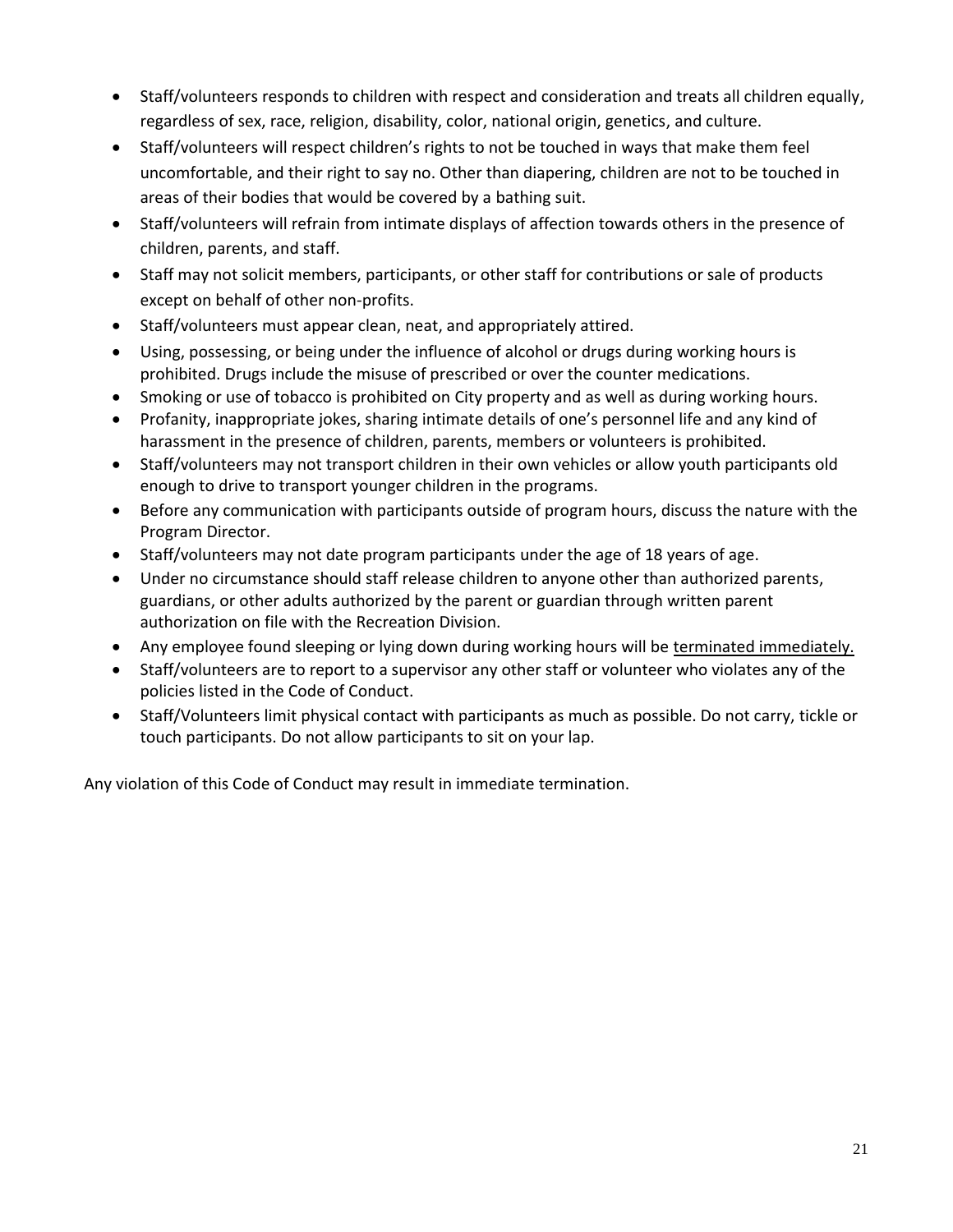- Staff/volunteers responds to children with respect and consideration and treats all children equally, regardless of sex, race, religion, disability, color, national origin, genetics, and culture.
- Staff/volunteers will respect children's rights to not be touched in ways that make them feel uncomfortable, and their right to say no. Other than diapering, children are not to be touched in areas of their bodies that would be covered by a bathing suit.
- Staff/volunteers will refrain from intimate displays of affection towards others in the presence of children, parents, and staff.
- Staff may not solicit members, participants, or other staff for contributions or sale of products except on behalf of other non-profits.
- Staff/volunteers must appear clean, neat, and appropriately attired.
- Using, possessing, or being under the influence of alcohol or drugs during working hours is prohibited. Drugs include the misuse of prescribed or over the counter medications.
- Smoking or use of tobacco is prohibited on City property and as well as during working hours.
- Profanity, inappropriate jokes, sharing intimate details of one's personnel life and any kind of harassment in the presence of children, parents, members or volunteers is prohibited.
- Staff/volunteers may not transport children in their own vehicles or allow youth participants old enough to drive to transport younger children in the programs.
- Before any communication with participants outside of program hours, discuss the nature with the Program Director.
- Staff/volunteers may not date program participants under the age of 18 years of age.
- Under no circumstance should staff release children to anyone other than authorized parents, guardians, or other adults authorized by the parent or guardian through written parent authorization on file with the Recreation Division.
- Any employee found sleeping or lying down during working hours will be terminated immediately.
- Staff/volunteers are to report to a supervisor any other staff or volunteer who violates any of the policies listed in the Code of Conduct.
- Staff/Volunteers limit physical contact with participants as much as possible. Do not carry, tickle or touch participants. Do not allow participants to sit on your lap.

Any violation of this Code of Conduct may result in immediate termination.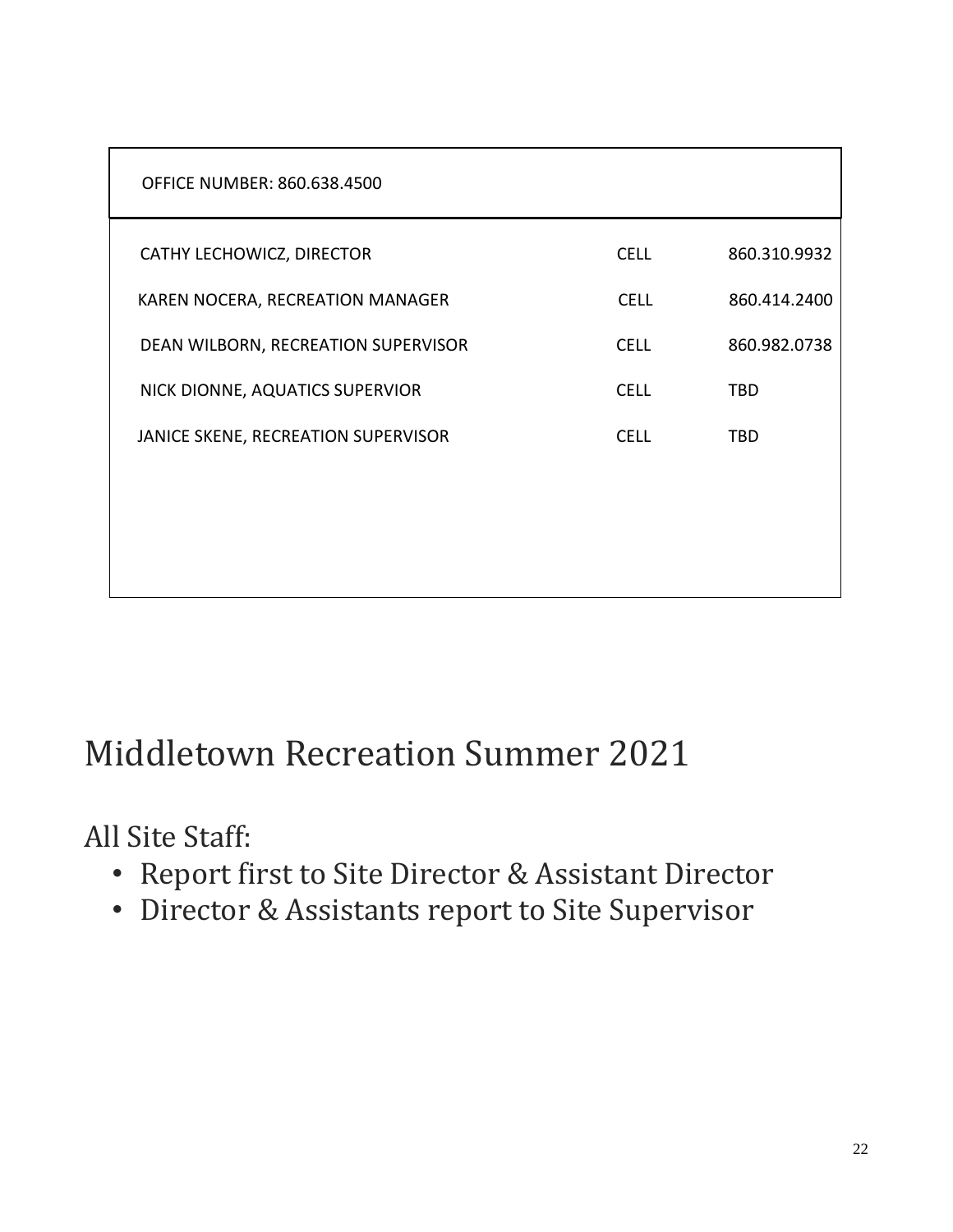| <b>OFFICE NUMBER: 860.638.4500</b>  |             |              |
|-------------------------------------|-------------|--------------|
| CATHY LECHOWICZ, DIRECTOR           | <b>CELL</b> | 860.310.9932 |
| KAREN NOCERA, RECREATION MANAGER    | <b>CELL</b> | 860.414.2400 |
| DEAN WILBORN, RECREATION SUPERVISOR | <b>CELL</b> | 860.982.0738 |
| NICK DIONNE, AQUATICS SUPERVIOR     | <b>CELL</b> | <b>TBD</b>   |
| JANICE SKENE, RECREATION SUPERVISOR | <b>CELL</b> | <b>TBD</b>   |
|                                     |             |              |
|                                     |             |              |
|                                     |             |              |

# Middletown Recreation Summer 2021

All Site Staff:

- Report first to Site Director & Assistant Director
- Director & Assistants report to Site Supervisor